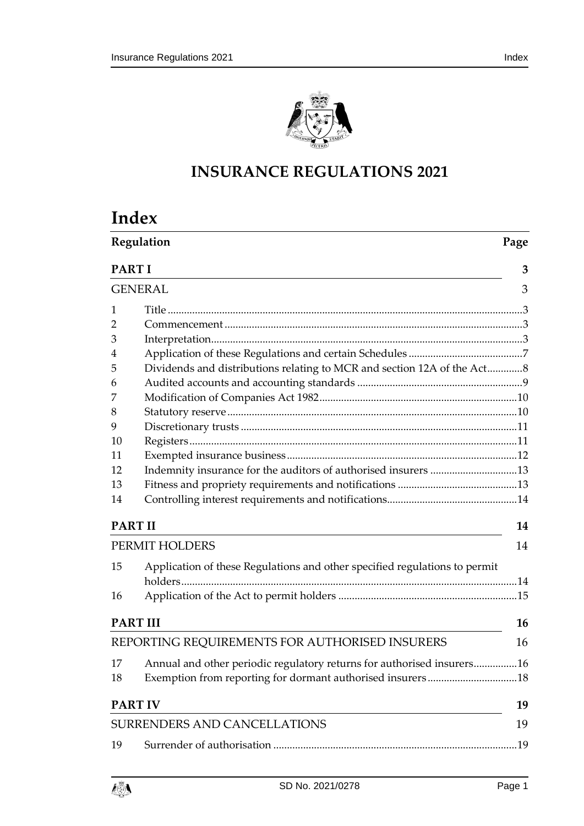

# **INSURANCE REGULATIONS 2021**

| Index |
|-------|
|-------|

|                | Regulation                                                                 |    |  |  |
|----------------|----------------------------------------------------------------------------|----|--|--|
|                | <b>PART I</b>                                                              |    |  |  |
| <b>GENERAL</b> |                                                                            | 3  |  |  |
| 1              |                                                                            |    |  |  |
| 2              |                                                                            |    |  |  |
| 3              |                                                                            |    |  |  |
| 4              |                                                                            |    |  |  |
| 5              | Dividends and distributions relating to MCR and section 12A of the Act8    |    |  |  |
| 6              |                                                                            |    |  |  |
| 7              |                                                                            |    |  |  |
| 8              |                                                                            |    |  |  |
| 9              |                                                                            |    |  |  |
| 10             |                                                                            |    |  |  |
| 11             |                                                                            |    |  |  |
| 12             | Indemnity insurance for the auditors of authorised insurers 13             |    |  |  |
| 13             |                                                                            |    |  |  |
| 14             |                                                                            |    |  |  |
| <b>PART II</b> |                                                                            | 14 |  |  |
|                | PERMIT HOLDERS                                                             | 14 |  |  |
| 15             | Application of these Regulations and other specified regulations to permit |    |  |  |
|                |                                                                            |    |  |  |
| 16             |                                                                            |    |  |  |
|                | <b>PART III</b>                                                            | 16 |  |  |
|                | REPORTING REQUIREMENTS FOR AUTHORISED INSURERS                             | 16 |  |  |
| 17             | Annual and other periodic regulatory returns for authorised insurers16     |    |  |  |
| 18             |                                                                            |    |  |  |
|                | <b>PART IV</b>                                                             | 19 |  |  |
|                | SURRENDERS AND CANCELLATIONS                                               |    |  |  |
| 19             |                                                                            |    |  |  |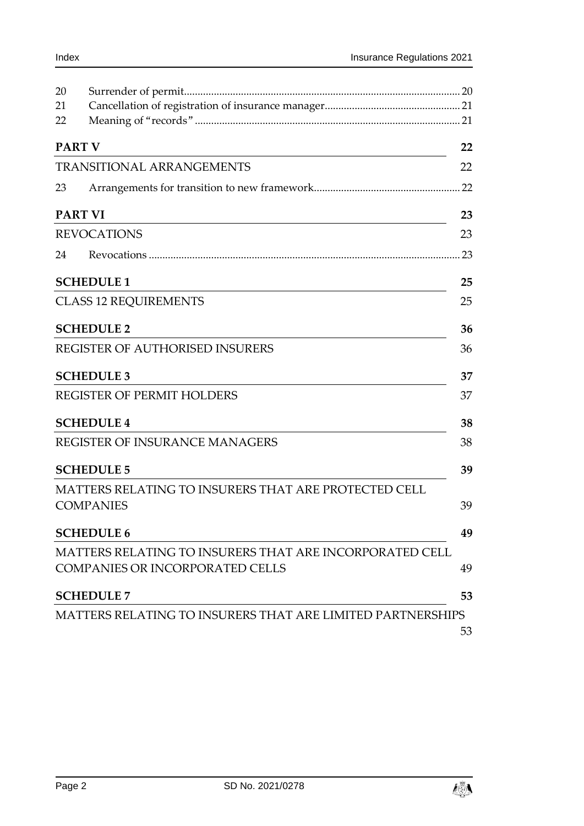| 20 |                                                                   |     |
|----|-------------------------------------------------------------------|-----|
| 21 |                                                                   |     |
| 22 |                                                                   |     |
|    | <b>PART V</b>                                                     | 22  |
|    | <b>TRANSITIONAL ARRANGEMENTS</b>                                  | 22  |
| 23 |                                                                   | .22 |
|    | <b>PART VI</b>                                                    | 23  |
|    | <b>REVOCATIONS</b>                                                | 23  |
| 24 |                                                                   | 23  |
|    | <b>SCHEDULE 1</b>                                                 | 25  |
|    | <b>CLASS 12 REQUIREMENTS</b>                                      | 25  |
|    | <b>SCHEDULE 2</b>                                                 | 36  |
|    | REGISTER OF AUTHORISED INSURERS                                   | 36  |
|    | <b>SCHEDULE 3</b>                                                 | 37  |
|    | <b>REGISTER OF PERMIT HOLDERS</b>                                 | 37  |
|    | <b>SCHEDULE 4</b>                                                 | 38  |
|    | <b>REGISTER OF INSURANCE MANAGERS</b>                             | 38  |
|    | <b>SCHEDULE 5</b>                                                 | 39  |
|    | MATTERS RELATING TO INSURERS THAT ARE PROTECTED CELL              |     |
|    | <b>COMPANIES</b>                                                  | 39  |
|    | <b>SCHEDULE 6</b>                                                 | 49  |
|    | MATTERS RELATING TO INSURERS THAT ARE INCORPORATED CELL           |     |
|    | <b>COMPANIES OR INCORPORATED CELLS</b>                            | 49  |
|    | <b>SCHEDULE 7</b>                                                 | 53  |
|    | <b>MATTERS RELATING TO INSURERS THAT ARE LIMITED PARTNERSHIPS</b> |     |
|    |                                                                   | 53  |

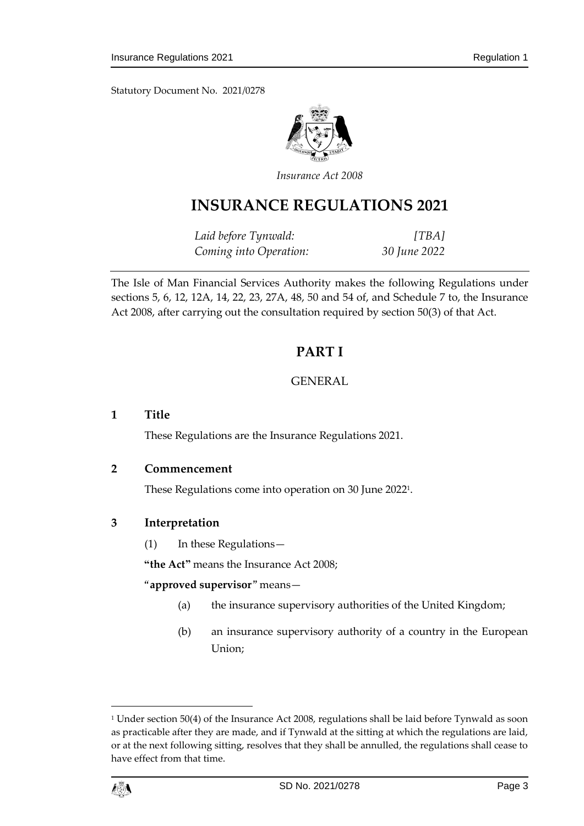Statutory Document No. 2021/0278



*Insurance Act 2008*

# **INSURANCE REGULATIONS 2021**

*Laid before Tynwald: [TBA] Coming into Operation: 30 June 2022*

<span id="page-2-0"></span>The Isle of Man Financial Services Authority makes the following Regulations under sections 5, 6, 12, 12A, 14, 22, 23, 27A, 48, 50 and 54 of, and Schedule 7 to, the Insurance Act 2008, after carrying out the consultation required by section 50(3) of that Act.

## **PART I**

## GENERAL

## <span id="page-2-2"></span><span id="page-2-1"></span>**1 Title**

These Regulations are the Insurance Regulations 2021.

#### <span id="page-2-3"></span>**2 Commencement**

These Regulations come into operation on 30 June 2022 1 .

## <span id="page-2-4"></span>**3 Interpretation**

(1) In these Regulations—

**"the Act"** means the Insurance Act 2008;

## <span id="page-2-5"></span>"**approved supervisor**" means—

- (a) the insurance supervisory authorities of the United Kingdom;
- (b) an insurance supervisory authority of a country in the European Union;

<sup>&</sup>lt;sup>1</sup> Under section 50(4) of the Insurance Act 2008, regulations shall be laid before Tynwald as soon as practicable after they are made, and if Tynwald at the sitting at which the regulations are laid, or at the next following sitting, resolves that they shall be annulled, the regulations shall cease to have effect from that time.



1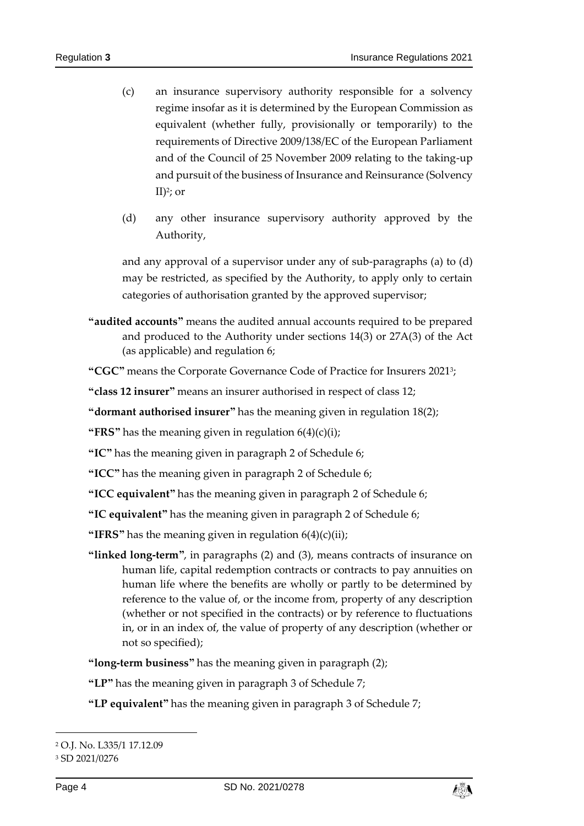- (c) an insurance supervisory authority responsible for a solvency regime insofar as it is determined by the European Commission as equivalent (whether fully, provisionally or temporarily) to the requirements of Directive 2009/138/EC of the European Parliament and of the Council of 25 November 2009 relating to the taking-up and pursuit of the business of Insurance and Reinsurance (Solvency II)<sup>2</sup> ; or
- <span id="page-3-0"></span>(d) any other insurance supervisory authority approved by the Authority,

and any approval of a supervisor under any of sub-paragraphs [\(a\)](#page-2-5) to [\(d\)](#page-3-0) may be restricted, as specified by the Authority, to apply only to certain categories of authorisation granted by the approved supervisor;

**"audited accounts"** means the audited annual accounts required to be prepared and produced to the Authority under sections 14(3) or 27A(3) of the Act (as applicable) and regulation [6;](#page-8-0)

**"CGC"** means the Corporate Governance Code of Practice for Insurers 2021<sup>3</sup> ;

**"class 12 insurer"** means an insurer authorised in respect of class 12;

**"dormant authorised insurer"** has the meaning given in regulation [18\(2\);](#page-17-1)

**"FRS"** has the meaning given in regulation [6\(4\)\(c\)\(i\);](#page-9-2)

**"IC"** has the meaning given in paragraph [2](#page-48-2) of Schedule 6;

**"ICC"** has the meaning given in paragraph [2](#page-48-2) of Schedule 6;

**"ICC equivalent"** has the meaning given in paragraph [2](#page-48-2) of Schedule 6;

**"IC equivalent"** has the meaning given in paragraph [2](#page-48-2) of Schedule 6;

**"IFRS"** has the meaning given in regulation [6\(4\)\(c\)\(ii\);](#page-9-3)

**"linked long-term"**, in paragraphs [\(2\)](#page-5-0) and [\(3\),](#page-5-1) means contracts of insurance on human life, capital redemption contracts or contracts to pay annuities on human life where the benefits are wholly or partly to be determined by reference to the value of, or the income from, property of any description (whether or not specified in the contracts) or by reference to fluctuations in, or in an index of, the value of property of any description (whether or not so specified);

**"long-term business"** has the meaning given in paragraph [\(2\);](#page-5-0)

**"LP"** has the meaning given in paragraph [3](#page-52-2) of Schedule 7;

**"LP equivalent"** has the meaning given in paragraph [3](#page-52-2) of Schedule 7;

-



<sup>2</sup> O.J. No. L335/1 17.12.09

<sup>3</sup> SD 2021/0276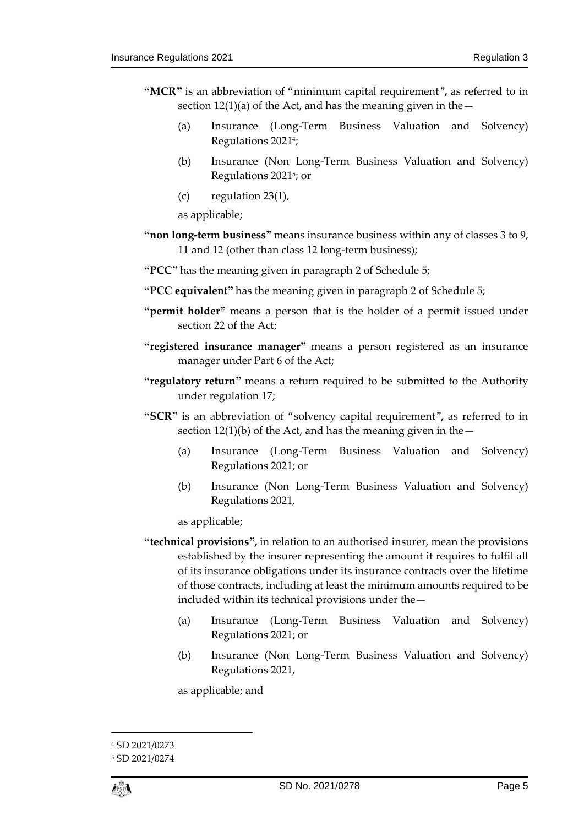- **"MCR"** is an abbreviation of "minimum capital requirement"**,** as referred to in section  $12(1)(a)$  of the Act, and has the meaning given in the  $-$ 
	- (a) Insurance (Long-Term Business Valuation and Solvency) Regulations 2021 4 ;
	- (b) Insurance (Non Long-Term Business Valuation and Solvency) Regulations 2021 5 ; or
	- (c) regulation [23\(1\),](#page-21-3)

as applicable;

- **"non long-term business"** means insurance business within any of classes 3 to 9, 11 and 12 (other than class 12 long-term business);
- **"PCC"** has the meaning given in paragraph [2](#page-38-2) of Schedule 5;
- **"PCC equivalent"** has the meaning given in paragraph [2](#page-38-2) of Schedule 5;
- **"permit holder"** means a person that is the holder of a permit issued under section 22 of the Act;
- **"registered insurance manager"** means a person registered as an insurance manager under Part 6 of the Act;
- **"regulatory return"** means a return required to be submitted to the Authority under regulation [17;](#page-15-2)
- **"SCR"** is an abbreviation of "solvency capital requirement"**,** as referred to in section  $12(1)(b)$  of the Act, and has the meaning given in the  $-$ 
	- (a) Insurance (Long-Term Business Valuation and Solvency) Regulations 2021; or
	- (b) Insurance (Non Long-Term Business Valuation and Solvency) Regulations 2021,

as applicable;

- **"technical provisions",** in relation to an authorised insurer, mean the provisions established by the insurer representing the amount it requires to fulfil all of its insurance obligations under its insurance contracts over the lifetime of those contracts, including at least the minimum amounts required to be included within its technical provisions under the—
	- (a) Insurance (Long-Term Business Valuation and Solvency) Regulations 2021; or
	- (b) Insurance (Non Long-Term Business Valuation and Solvency) Regulations 2021,

as applicable; and

1

<sup>4</sup> SD 2021/0273

<sup>5</sup> SD 2021/0274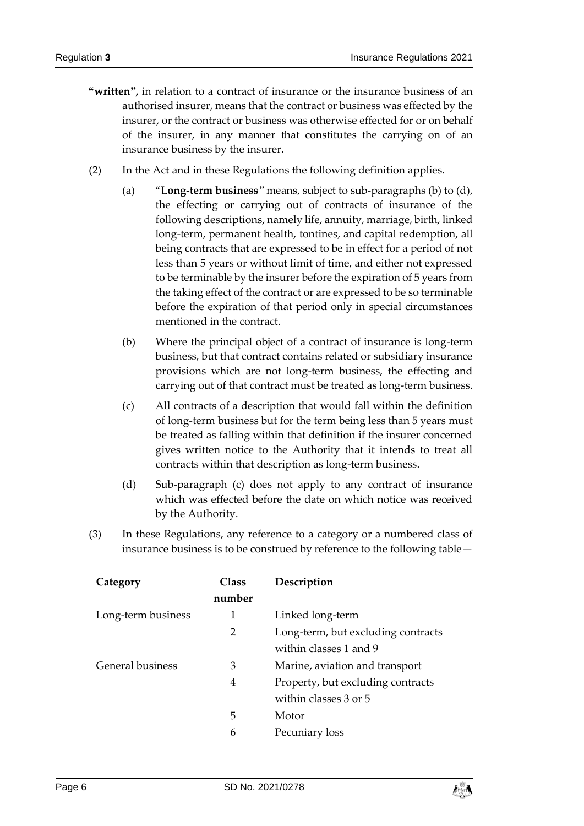- **"written",** in relation to a contract of insurance or the insurance business of an authorised insurer, means that the contract or business was effected by the insurer, or the contract or business was otherwise effected for or on behalf of the insurer, in any manner that constitutes the carrying on of an insurance business by the insurer.
- <span id="page-5-2"></span><span id="page-5-0"></span>(2) In the Act and in these Regulations the following definition applies.
	- (a) "L**ong-term business**" means, subject to sub-paragraph[s \(b\)](#page-5-2) to [\(d\),](#page-5-3) the effecting or carrying out of contracts of insurance of the following descriptions, namely life, annuity, marriage, birth, linked long-term, permanent health, tontines, and capital redemption, all being contracts that are expressed to be in effect for a period of not less than 5 years or without limit of time, and either not expressed to be terminable by the insurer before the expiration of 5 years from the taking effect of the contract or are expressed to be so terminable before the expiration of that period only in special circumstances mentioned in the contract.
	- (b) Where the principal object of a contract of insurance is long-term business, but that contract contains related or subsidiary insurance provisions which are not long-term business, the effecting and carrying out of that contract must be treated as long-term business.
	- (c) All contracts of a description that would fall within the definition of long-term business but for the term being less than 5 years must be treated as falling within that definition if the insurer concerned gives written notice to the Authority that it intends to treat all contracts within that description as long-term business.
	- (d) Sub-paragraph [\(c\)](#page-5-4) does not apply to any contract of insurance which was effected before the date on which notice was received by the Authority.
- <span id="page-5-4"></span><span id="page-5-3"></span><span id="page-5-1"></span>(3) In these Regulations, any reference to a category or a numbered class of insurance business is to be construed by reference to the following table—

| <b>Class</b> | Description                        |
|--------------|------------------------------------|
| number       |                                    |
| 1            | Linked long-term                   |
| 2            | Long-term, but excluding contracts |
|              | within classes 1 and 9             |
| 3            | Marine, aviation and transport     |
| 4            | Property, but excluding contracts  |
|              | within classes 3 or 5              |
| 5            | Motor                              |
| 6            | Pecuniary loss                     |
|              |                                    |

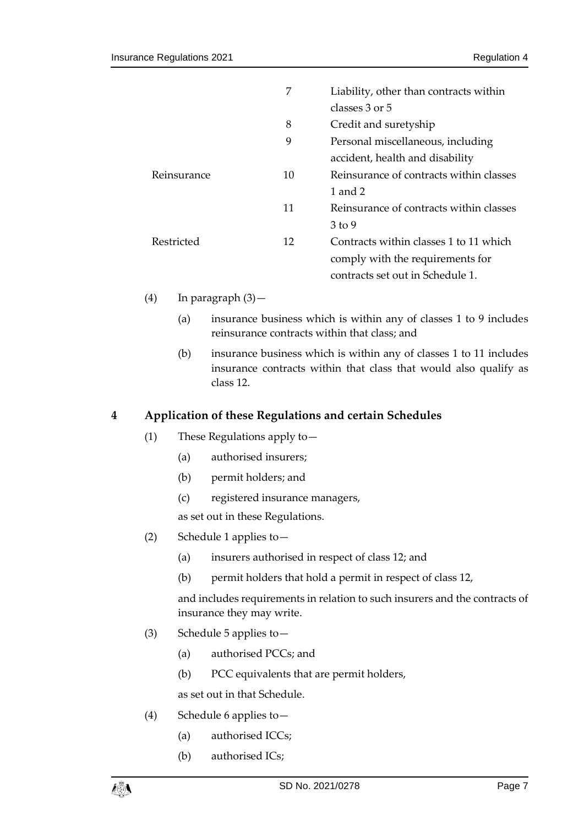|             | 7  | Liability, other than contracts within  |
|-------------|----|-----------------------------------------|
|             |    | classes 3 or 5                          |
|             | 8  | Credit and suretyship                   |
|             | 9  | Personal miscellaneous, including       |
|             |    | accident, health and disability         |
| Reinsurance | 10 | Reinsurance of contracts within classes |
|             |    | 1 and 2                                 |
|             | 11 | Reinsurance of contracts within classes |
|             |    | $3 \text{ to } 9$                       |
| Restricted  | 12 | Contracts within classes 1 to 11 which  |
|             |    | comply with the requirements for        |
|             |    | contracts set out in Schedule 1.        |

- (4) In paragraph [\(3\)](#page-5-1)
	- (a) insurance business which is within any of classes 1 to 9 includes reinsurance contracts within that class; and
	- (b) insurance business which is within any of classes 1 to 11 includes insurance contracts within that class that would also qualify as class 12.

## <span id="page-6-0"></span>**4 Application of these Regulations and certain Schedules**

- (1) These Regulations apply to—
	- (a) authorised insurers;
	- (b) permit holders; and
	- (c) registered insurance managers,

as set out in these Regulations.

- <span id="page-6-1"></span>(2) Schedule 1 applies to—
	- (a) insurers authorised in respect of class 12; and
	- (b) permit holders that hold a permit in respect of class 12,

and includes requirements in relation to such insurers and the contracts of insurance they may write.

- <span id="page-6-2"></span>(3) Schedule 5 applies to—
	- (a) authorised PCCs; and
	- (b) PCC equivalents that are permit holders,

as set out in that Schedule.

- <span id="page-6-3"></span>(4) Schedule 6 applies to—
	- (a) authorised ICCs;
	- (b) authorised ICs;

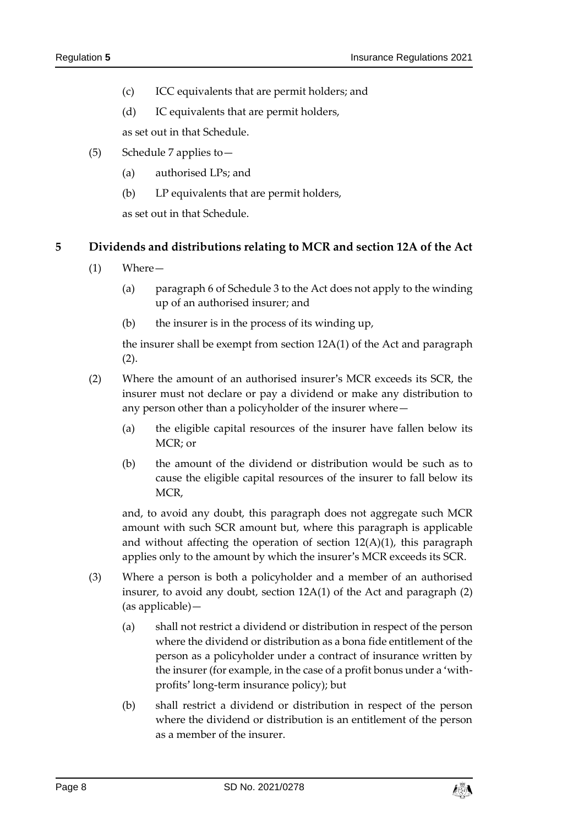- (c) ICC equivalents that are permit holders; and
- (d) IC equivalents that are permit holders,

as set out in that Schedule.

- <span id="page-7-2"></span>(5) Schedule 7 applies to—
	- (a) authorised LPs; and
	- (b) LP equivalents that are permit holders,

as set out in that Schedule.

#### <span id="page-7-0"></span>**5 Dividends and distributions relating to MCR and section 12A of the Act**

- (1) Where—
	- (a) paragraph 6 of Schedule 3 to the Act does not apply to the winding up of an authorised insurer; and
	- (b) the insurer is in the process of its winding up,

the insurer shall be exempt from section 12A(1) of the Act and paragraph [\(2\).](#page-7-1)

- <span id="page-7-1"></span>(2) Where the amount of an authorised insurer's MCR exceeds its SCR, the insurer must not declare or pay a dividend or make any distribution to any person other than a policyholder of the insurer where—
	- (a) the eligible capital resources of the insurer have fallen below its MCR; or
	- (b) the amount of the dividend or distribution would be such as to cause the eligible capital resources of the insurer to fall below its MCR,

and, to avoid any doubt, this paragraph does not aggregate such MCR amount with such SCR amount but, where this paragraph is applicable and without affecting the operation of section 12(A)(1), this paragraph applies only to the amount by which the insurer's MCR exceeds its SCR.

- <span id="page-7-3"></span>(3) Where a person is both a policyholder and a member of an authorised insurer, to avoid any doubt, section 12A(1) of the Act and paragraph [\(2\)](#page-7-1) (as applicable)—
	- (a) shall not restrict a dividend or distribution in respect of the person where the dividend or distribution as a bona fide entitlement of the person as a policyholder under a contract of insurance written by the insurer (for example, in the case of a profit bonus under a 'withprofits' long-term insurance policy); but
	- (b) shall restrict a dividend or distribution in respect of the person where the dividend or distribution is an entitlement of the person as a member of the insurer.

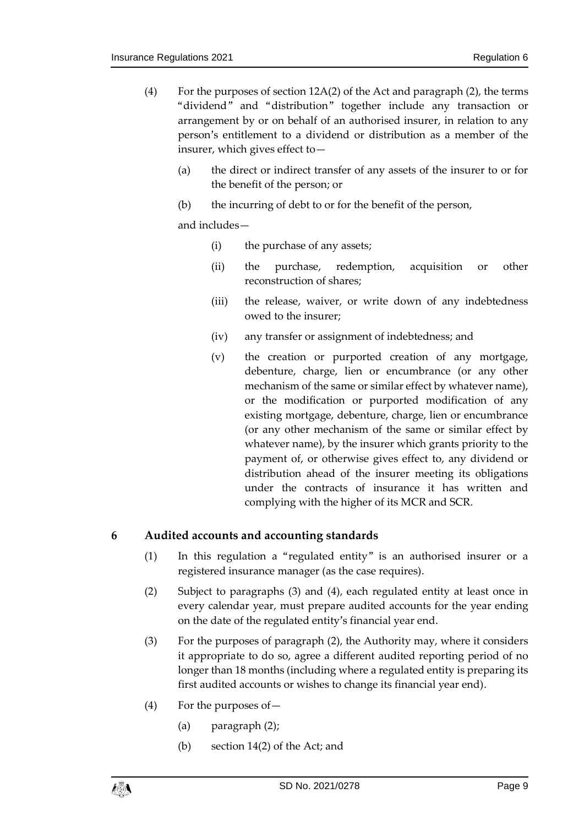- <span id="page-8-4"></span>(4) For the purposes of section 12A(2) of the Act and paragraph [\(2\),](#page-7-1) the terms "dividend" and "distribution" together include any transaction or arrangement by or on behalf of an authorised insurer, in relation to any person's entitlement to a dividend or distribution as a member of the insurer, which gives effect to—
	- (a) the direct or indirect transfer of any assets of the insurer to or for the benefit of the person; or
	- (b) the incurring of debt to or for the benefit of the person,

and includes—

- (i) the purchase of any assets;
- (ii) the purchase, redemption, acquisition or other reconstruction of shares;
- (iii) the release, waiver, or write down of any indebtedness owed to the insurer;
- (iv) any transfer or assignment of indebtedness; and
- (v) the creation or purported creation of any mortgage, debenture, charge, lien or encumbrance (or any other mechanism of the same or similar effect by whatever name), or the modification or purported modification of any existing mortgage, debenture, charge, lien or encumbrance (or any other mechanism of the same or similar effect by whatever name), by the insurer which grants priority to the payment of, or otherwise gives effect to, any dividend or distribution ahead of the insurer meeting its obligations under the contracts of insurance it has written and complying with the higher of its MCR and SCR.

#### <span id="page-8-0"></span>**6 Audited accounts and accounting standards**

- (1) In this regulation a "regulated entity" is an authorised insurer or a registered insurance manager (as the case requires).
- <span id="page-8-3"></span>(2) Subject to paragraphs [\(3\)](#page-8-1) and [\(4\),](#page-8-2) each regulated entity at least once in every calendar year, must prepare audited accounts for the year ending on the date of the regulated entity's financial year end.
- <span id="page-8-1"></span>(3) For the purposes of paragraph [\(2\),](#page-8-3) the Authority may, where it considers it appropriate to do so, agree a different audited reporting period of no longer than 18 months (including where a regulated entity is preparing its first audited accounts or wishes to change its financial year end).
- <span id="page-8-2"></span>(4) For the purposes of—
	- (a) paragraph [\(2\);](#page-8-3)
	- (b) section 14(2) of the Act; and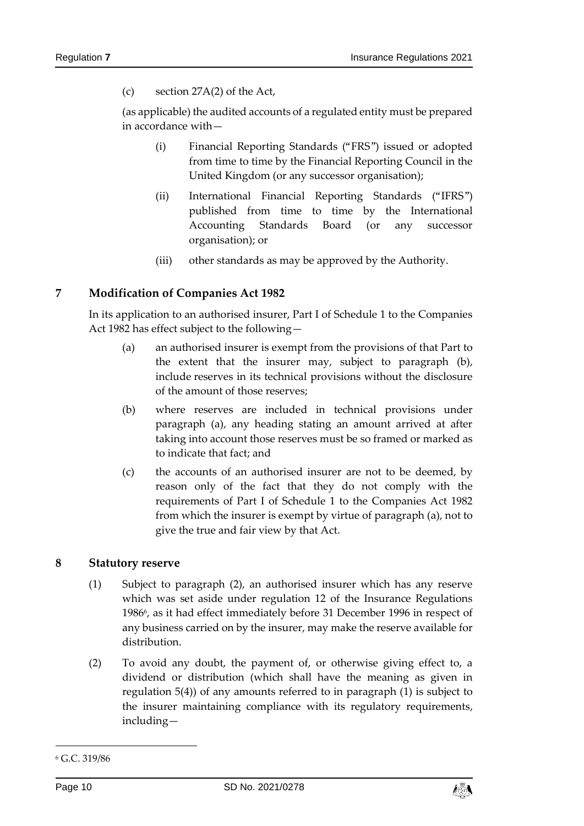(c) section 27A(2) of the Act,

<span id="page-9-2"></span>(as applicable) the audited accounts of a regulated entity must be prepared in accordance with—

- (i) Financial Reporting Standards ("FRS") issued or adopted from time to time by the Financial Reporting Council in the United Kingdom (or any successor organisation);
- <span id="page-9-3"></span>(ii) International Financial Reporting Standards ("IFRS") published from time to time by the International Accounting Standards Board (or any successor organisation); or
- (iii) other standards as may be approved by the Authority.

#### <span id="page-9-8"></span><span id="page-9-0"></span>**7 Modification of Companies Act 1982**

<span id="page-9-5"></span>In its application to an authorised insurer, Part I of Schedule 1 to the Companies Act 1982 has effect subject to the following—

- (a) an authorised insurer is exempt from the provisions of that Part to the extent that the insurer may, subject to paragraph [\(b\),](#page-9-4) include reserves in its technical provisions without the disclosure of the amount of those reserves;
- <span id="page-9-4"></span>(b) where reserves are included in technical provisions under paragraph [\(a\),](#page-9-5) any heading stating an amount arrived at after taking into account those reserves must be so framed or marked as to indicate that fact; and
- (c) the accounts of an authorised insurer are not to be deemed, by reason only of the fact that they do not comply with the requirements of Part I of Schedule 1 to the Companies Act 1982 from which the insurer is exempt by virtue of paragraph [\(a\),](#page-9-5) not to give the true and fair view by that Act.

#### <span id="page-9-7"></span><span id="page-9-1"></span>**8 Statutory reserve**

- (1) Subject to paragraph [\(2\),](#page-9-6) an authorised insurer which has any reserve which was set aside under regulation 12 of the Insurance Regulations 1986<sup>6</sup>, as it had effect immediately before 31 December 1996 in respect of any business carried on by the insurer, may make the reserve available for distribution.
- <span id="page-9-6"></span>(2) To avoid any doubt, the payment of, or otherwise giving effect to, a dividend or distribution (which shall have the meaning as given in regulation [5\(4\)\)](#page-8-4) of any amounts referred to in paragraph [\(1\)](#page-9-7) is subject to the insurer maintaining compliance with its regulatory requirements, including—

-



<sup>6</sup> G.C. 319/86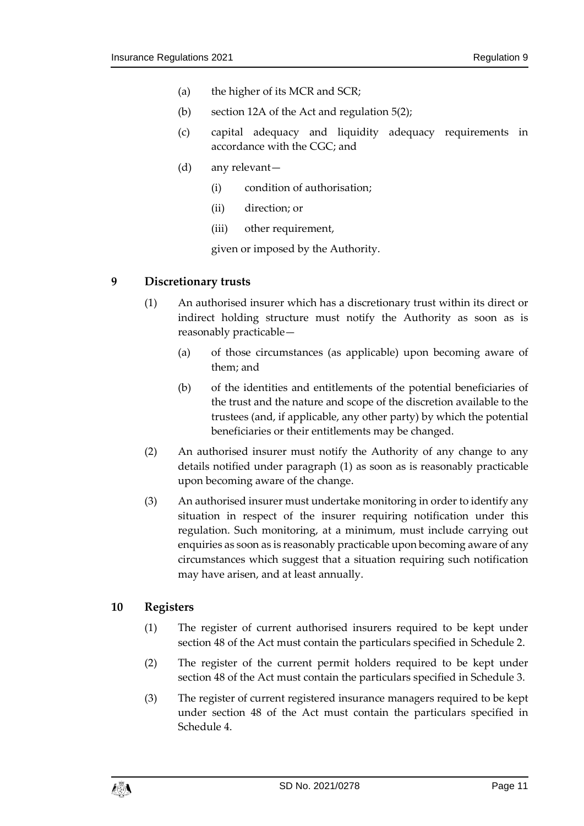- (a) the higher of its MCR and SCR;
- (b) section 12A of the Act and regulation [5\(2\);](#page-7-1)
- (c) capital adequacy and liquidity adequacy requirements in accordance with the CGC; and
- (d) any relevant—
	- (i) condition of authorisation;
	- (ii) direction; or
	- (iii) other requirement,

given or imposed by the Authority.

#### <span id="page-10-2"></span><span id="page-10-0"></span>**9 Discretionary trusts**

- (1) An authorised insurer which has a discretionary trust within its direct or indirect holding structure must notify the Authority as soon as is reasonably practicable—
	- (a) of those circumstances (as applicable) upon becoming aware of them; and
	- (b) of the identities and entitlements of the potential beneficiaries of the trust and the nature and scope of the discretion available to the trustees (and, if applicable, any other party) by which the potential beneficiaries or their entitlements may be changed.
- (2) An authorised insurer must notify the Authority of any change to any details notified under paragraph [\(1\)](#page-10-2) as soon as is reasonably practicable upon becoming aware of the change.
- (3) An authorised insurer must undertake monitoring in order to identify any situation in respect of the insurer requiring notification under this regulation. Such monitoring, at a minimum, must include carrying out enquiries as soon as is reasonably practicable upon becoming aware of any circumstances which suggest that a situation requiring such notification may have arisen, and at least annually.

#### <span id="page-10-3"></span><span id="page-10-1"></span>**10 Registers**

- (1) The register of current authorised insurers required to be kept under section 48 of the Act must contain the particulars specified in Schedule 2.
- <span id="page-10-4"></span>(2) The register of the current permit holders required to be kept under section 48 of the Act must contain the particulars specified in Schedule 3.
- <span id="page-10-5"></span>(3) The register of current registered insurance managers required to be kept under section 48 of the Act must contain the particulars specified in Schedule 4.

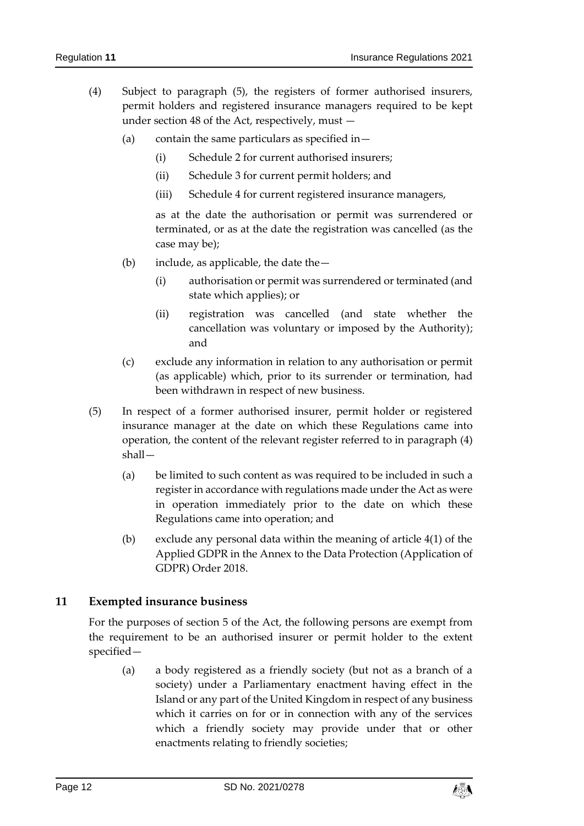- <span id="page-11-2"></span>(4) Subject to paragraph [\(5\),](#page-11-1) the registers of former authorised insurers, permit holders and registered insurance managers required to be kept under section 48 of the Act, respectively, must —
	- (a) contain the same particulars as specified in  $-$ 
		- (i) Schedule 2 for current authorised insurers;
		- (ii) Schedule 3 for current permit holders; and
		- (iii) Schedule 4 for current registered insurance managers,

as at the date the authorisation or permit was surrendered or terminated, or as at the date the registration was cancelled (as the case may be);

- <span id="page-11-3"></span>(b) include, as applicable, the date the  $-$ 
	- (i) authorisation or permit was surrendered or terminated (and state which applies); or
	- (ii) registration was cancelled (and state whether the cancellation was voluntary or imposed by the Authority); and
- (c) exclude any information in relation to any authorisation or permit (as applicable) which, prior to its surrender or termination, had been withdrawn in respect of new business.
- <span id="page-11-1"></span>(5) In respect of a former authorised insurer, permit holder or registered insurance manager at the date on which these Regulations came into operation, the content of the relevant register referred to in paragraph [\(4\)](#page-11-2) shall—
	- (a) be limited to such content as was required to be included in such a register in accordance with regulations made under the Act as were in operation immediately prior to the date on which these Regulations came into operation; and
	- (b) exclude any personal data within the meaning of article 4(1) of the Applied GDPR in the Annex to the Data Protection (Application of GDPR) Order 2018.

## <span id="page-11-0"></span>**11 Exempted insurance business**

For the purposes of section 5 of the Act, the following persons are exempt from the requirement to be an authorised insurer or permit holder to the extent specified—

(a) a body registered as a friendly society (but not as a branch of a society) under a Parliamentary enactment having effect in the Island or any part of the United Kingdom in respect of any business which it carries on for or in connection with any of the services which a friendly society may provide under that or other enactments relating to friendly societies;

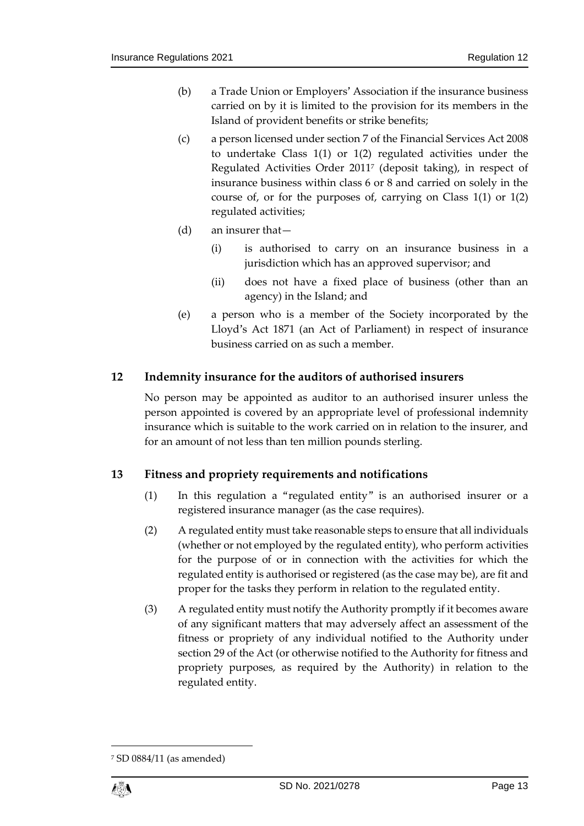- (b) a Trade Union or Employers' Association if the insurance business carried on by it is limited to the provision for its members in the Island of provident benefits or strike benefits;
- (c) a person licensed under section 7 of the Financial Services Act 2008 to undertake Class 1(1) or 1(2) regulated activities under the Regulated Activities Order 2011<sup>7</sup> (deposit taking), in respect of insurance business within class 6 or 8 and carried on solely in the course of, or for the purposes of, carrying on Class 1(1) or 1(2) regulated activities;
- (d) an insurer that—
	- (i) is authorised to carry on an insurance business in a jurisdiction which has an approved supervisor; and
	- (ii) does not have a fixed place of business (other than an agency) in the Island; and
- (e) a person who is a member of the Society incorporated by the Lloyd's Act 1871 (an Act of Parliament) in respect of insurance business carried on as such a member.

## <span id="page-12-0"></span>**12 Indemnity insurance for the auditors of authorised insurers**

No person may be appointed as auditor to an authorised insurer unless the person appointed is covered by an appropriate level of professional indemnity insurance which is suitable to the work carried on in relation to the insurer, and for an amount of not less than ten million pounds sterling.

## <span id="page-12-1"></span>**13 Fitness and propriety requirements and notifications**

- (1) In this regulation a "regulated entity" is an authorised insurer or a registered insurance manager (as the case requires).
- (2) A regulated entity must take reasonable steps to ensure that all individuals (whether or not employed by the regulated entity), who perform activities for the purpose of or in connection with the activities for which the regulated entity is authorised or registered (as the case may be), are fit and proper for the tasks they perform in relation to the regulated entity.
- (3) A regulated entity must notify the Authority promptly if it becomes aware of any significant matters that may adversely affect an assessment of the fitness or propriety of any individual notified to the Authority under section 29 of the Act (or otherwise notified to the Authority for fitness and propriety purposes, as required by the Authority) in relation to the regulated entity.

1

<sup>7</sup> SD 0884/11 (as amended)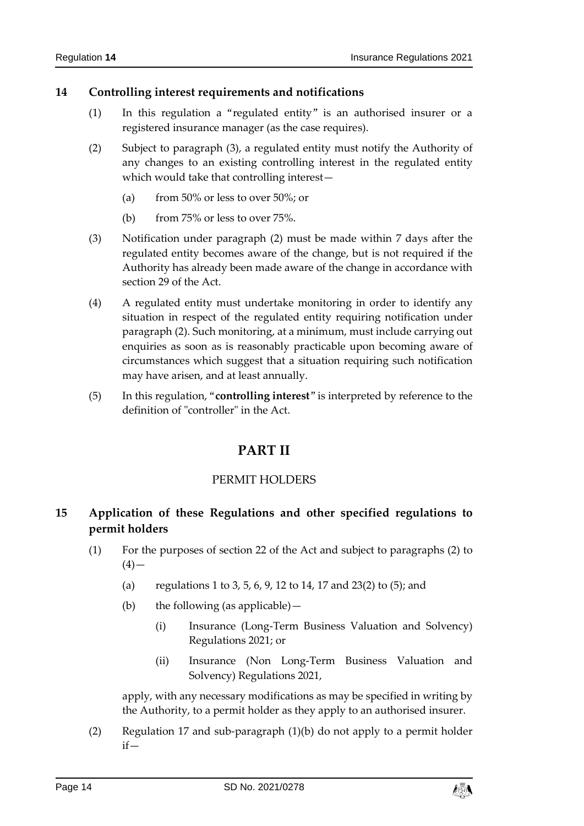## <span id="page-13-0"></span>**14 Controlling interest requirements and notifications**

- (1) In this regulation a "regulated entity" is an authorised insurer or a registered insurance manager (as the case requires).
- <span id="page-13-5"></span>(2) Subject to paragraph [\(3\),](#page-13-4) a regulated entity must notify the Authority of any changes to an existing controlling interest in the regulated entity which would take that controlling interest—
	- (a) from 50% or less to over 50%; or
	- (b) from 75% or less to over 75%.
- <span id="page-13-4"></span>(3) Notification under paragraph [\(2\)](#page-13-5) must be made within 7 days after the regulated entity becomes aware of the change, but is not required if the Authority has already been made aware of the change in accordance with section 29 of the Act.
- (4) A regulated entity must undertake monitoring in order to identify any situation in respect of the regulated entity requiring notification under paragraph [\(2\).](#page-13-5) Such monitoring, at a minimum, must include carrying out enquiries as soon as is reasonably practicable upon becoming aware of circumstances which suggest that a situation requiring such notification may have arisen, and at least annually.
- <span id="page-13-1"></span>(5) In this regulation, "**controlling interest**" is interpreted by reference to the definition of "controller" in the Act.

## **PART II**

## PERMIT HOLDERS

## <span id="page-13-3"></span><span id="page-13-2"></span>**15 Application of these Regulations and other specified regulations to permit holders**

- <span id="page-13-7"></span>(1) For the purposes of section 22 of the Act and subject to paragraphs [\(2\)](#page-13-6) to  $(4)$  —
	- (a) regulations [1](#page-2-2) to [3,](#page-2-4) [5,](#page-7-0) [6,](#page-8-0) [9,](#page-10-0) [12](#page-12-0) to [14,](#page-13-0) [17](#page-15-2) an[d 23\(2\)](#page-21-4) t[o \(5\);](#page-22-3) and
	- (b) the following (as applicable)—
		- (i) Insurance (Long-Term Business Valuation and Solvency) Regulations 2021; or
		- (ii) Insurance (Non Long-Term Business Valuation and Solvency) Regulations 2021,

apply, with any necessary modifications as may be specified in writing by the Authority, to a permit holder as they apply to an authorised insurer.

<span id="page-13-6"></span>(2) Regulation [17](#page-15-2) and sub-paragraph [\(1\)\(b\)](#page-13-7) do not apply to a permit holder if—

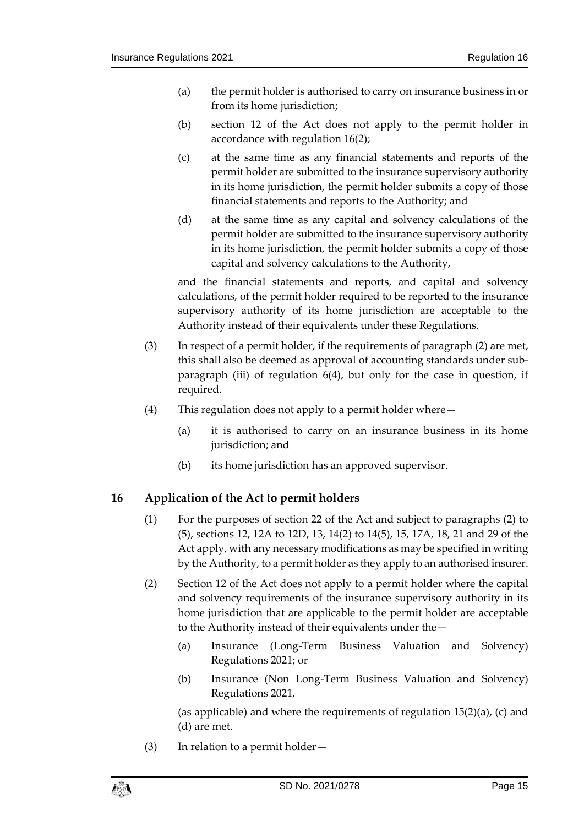- <span id="page-14-3"></span>(a) the permit holder is authorised to carry on insurance business in or from its home jurisdiction;
- (b) section 12 of the Act does not apply to the permit holder in accordance with regulation [16\(2\);](#page-14-2)
- <span id="page-14-4"></span>(c) at the same time as any financial statements and reports of the permit holder are submitted to the insurance supervisory authority in its home jurisdiction, the permit holder submits a copy of those financial statements and reports to the Authority; and
- <span id="page-14-5"></span>(d) at the same time as any capital and solvency calculations of the permit holder are submitted to the insurance supervisory authority in its home jurisdiction, the permit holder submits a copy of those capital and solvency calculations to the Authority,

and the financial statements and reports, and capital and solvency calculations, of the permit holder required to be reported to the insurance supervisory authority of its home jurisdiction are acceptable to the Authority instead of their equivalents under these Regulations.

- (3) In respect of a permit holder, if the requirements of paragraph [\(2\)](#page-13-6) are met, this shall also be deemed as approval of accounting standards under subparagraph [\(iii\)](#page-9-8) of regulation [6\(4\),](#page-8-2) but only for the case in question, if required.
- <span id="page-14-1"></span>(4) This regulation does not apply to a permit holder where—
	- (a) it is authorised to carry on an insurance business in its home jurisdiction; and
	- (b) its home jurisdiction has an approved supervisor.

## <span id="page-14-0"></span>**16 Application of the Act to permit holders**

- (1) For the purposes of section 22 of the Act and subject to paragraphs [\(2\)](#page-14-2) to [\(5\),](#page-15-3) sections 12, 12A to 12D, 13, 14(2) to 14(5), 15, 17A, 18, 21 and 29 of the Act apply, with any necessary modifications as may be specified in writing by the Authority, to a permit holder as they apply to an authorised insurer.
- <span id="page-14-2"></span>(2) Section 12 of the Act does not apply to a permit holder where the capital and solvency requirements of the insurance supervisory authority in its home jurisdiction that are applicable to the permit holder are acceptable to the Authority instead of their equivalents under the—
	- (a) Insurance (Long-Term Business Valuation and Solvency) Regulations 2021; or
	- (b) Insurance (Non Long-Term Business Valuation and Solvency) Regulations 2021,

(as applicable) and where the requirements of regulation  $15(2)(a)$ , [\(c\)](#page-14-4) and [\(d\)](#page-14-5) are met.

(3) In relation to a permit holder—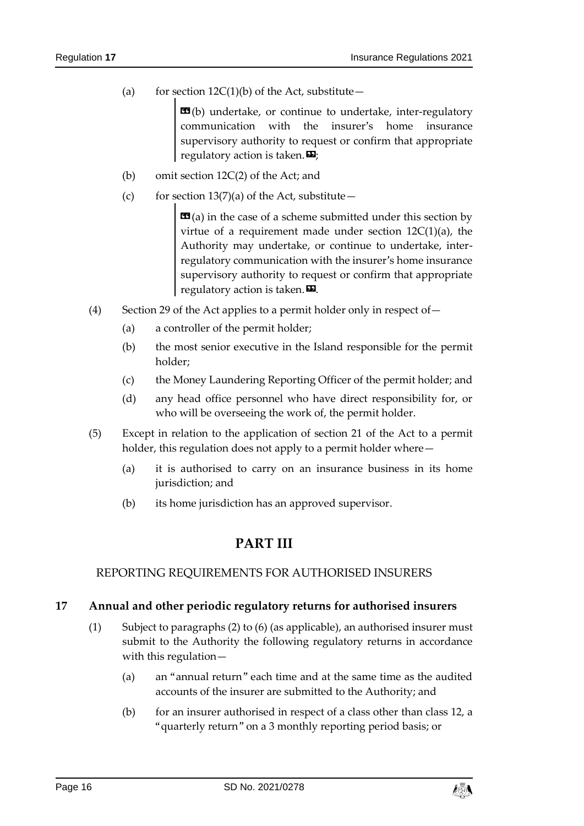(a) for section  $12C(1)(b)$  of the Act, substitute –

 **(b) undertake, or continue to undertake, inter-regulatory** communication with the insurer's home insurance supervisory authority to request or confirm that appropriate regulatory action is taken. $\boldsymbol{\mathsf{E}}$ ;

- (b) omit section 12C(2) of the Act; and
- (c) for section  $13(7)(a)$  of the Act, substitute –

 **(a) in the case of a scheme submitted under this section by** virtue of a requirement made under section  $12C(1)(a)$ , the Authority may undertake, or continue to undertake, interregulatory communication with the insurer's home insurance supervisory authority to request or confirm that appropriate regulatory action is taken. $\boldsymbol{\Sigma}$ .

- (4) Section 29 of the Act applies to a permit holder only in respect of  $-$ 
	- (a) a controller of the permit holder;
	- (b) the most senior executive in the Island responsible for the permit holder;
	- (c) the Money Laundering Reporting Officer of the permit holder; and
	- (d) any head office personnel who have direct responsibility for, or who will be overseeing the work of, the permit holder.
- <span id="page-15-3"></span>(5) Except in relation to the application of section 21 of the Act to a permit holder, this regulation does not apply to a permit holder where -
	- (a) it is authorised to carry on an insurance business in its home jurisdiction; and
	- (b) its home jurisdiction has an approved supervisor.

## **PART III**

#### <span id="page-15-1"></span><span id="page-15-0"></span>REPORTING REQUIREMENTS FOR AUTHORISED INSURERS

#### <span id="page-15-6"></span><span id="page-15-2"></span>**17 Annual and other periodic regulatory returns for authorised insurers**

- <span id="page-15-5"></span><span id="page-15-4"></span>(1) Subject to paragraphs [\(2\)](#page-16-0) to [\(6\)](#page-17-2) (as applicable), an authorised insurer must submit to the Authority the following regulatory returns in accordance with this regulation—
	- (a) an "annual return" each time and at the same time as the audited accounts of the insurer are submitted to the Authority; and
	- (b) for an insurer authorised in respect of a class other than class 12, a "quarterly return" on a 3 monthly reporting period basis; or

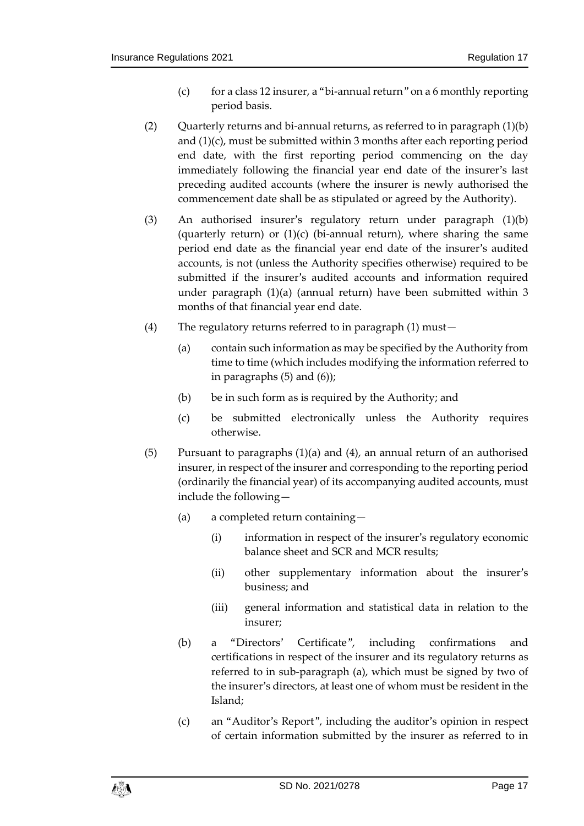- (c) for a class 12 insurer, a "bi-annual return" on a 6 monthly reporting period basis.
- <span id="page-16-1"></span><span id="page-16-0"></span>(2) Quarterly returns and bi-annual returns, as referred to in paragraph  $(1)(b)$ an[d \(1\)\(c\),](#page-16-1) must be submitted within 3 months after each reporting period end date, with the first reporting period commencing on the day immediately following the financial year end date of the insurer's last preceding audited accounts (where the insurer is newly authorised the commencement date shall be as stipulated or agreed by the Authority).
- (3) An authorised insurer's regulatory return under paragraph [\(1\)\(b\)](#page-15-4) (quarterly return) or  $(1)(c)$  (bi-annual return), where sharing the same period end date as the financial year end date of the insurer's audited accounts, is not (unless the Authority specifies otherwise) required to be submitted if the insurer's audited accounts and information required under paragraph [\(1\)\(a\)](#page-15-5) (annual return) have been submitted within 3 months of that financial year end date.
- <span id="page-16-3"></span>(4) The regulatory returns referred to in paragraph [\(1\)](#page-15-6) must—
	- (a) contain such information as may be specified by the Authority from time to time (which includes modifying the information referred to in paragraphs [\(5\)](#page-16-2) and [\(6\)\)](#page-17-2);
	- (b) be in such form as is required by the Authority; and
	- (c) be submitted electronically unless the Authority requires otherwise.
- <span id="page-16-7"></span><span id="page-16-6"></span><span id="page-16-5"></span><span id="page-16-4"></span><span id="page-16-2"></span>(5) Pursuant to paragraphs [\(1\)\(a\)](#page-15-5) and [\(4\),](#page-16-3) an annual return of an authorised insurer, in respect of the insurer and corresponding to the reporting period (ordinarily the financial year) of its accompanying audited accounts, must include the following—
	- (a) a completed return containing—
		- (i) information in respect of the insurer's regulatory economic balance sheet and SCR and MCR results;
		- (ii) other supplementary information about the insurer's business; and
		- (iii) general information and statistical data in relation to the insurer;
	- (b) a "Directors' Certificate", including confirmations and certifications in respect of the insurer and its regulatory returns as referred to in sub-paragraph [\(a\),](#page-16-4) which must be signed by two of the insurer's directors, at least one of whom must be resident in the Island;
	- (c) an "Auditor's Report", including the auditor's opinion in respect of certain information submitted by the insurer as referred to in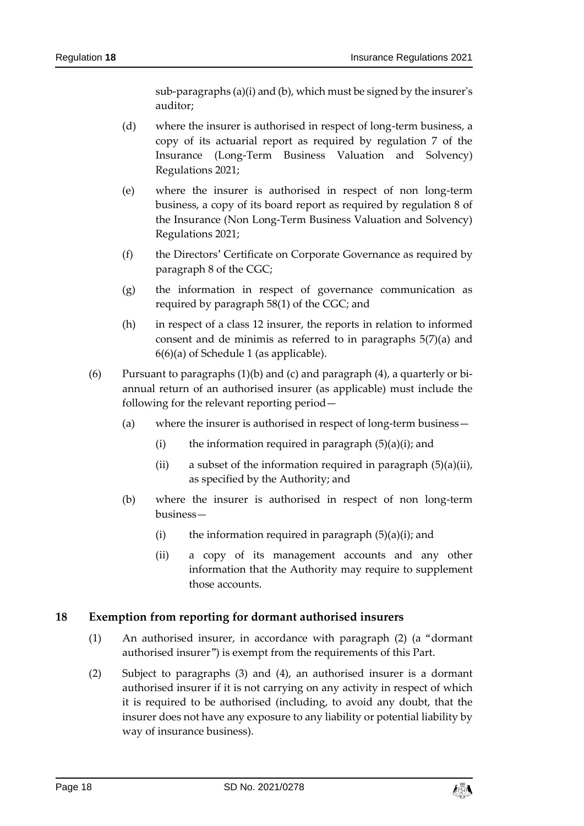sub-paragraphs [\(a\)\(i\)](#page-16-5) an[d \(b\),](#page-16-6) which must be signed by the insurer's auditor;

- (d) where the insurer is authorised in respect of long-term business, a copy of its actuarial report as required by regulation 7 of the Insurance (Long-Term Business Valuation and Solvency) Regulations 2021;
- (e) where the insurer is authorised in respect of non long-term business, a copy of its board report as required by regulation 8 of the Insurance (Non Long-Term Business Valuation and Solvency) Regulations 2021;
- (f) the Directors' Certificate on Corporate Governance as required by paragraph 8 of the CGC;
- (g) the information in respect of governance communication as required by paragraph 58(1) of the CGC; and
- (h) in respect of a class 12 insurer, the reports in relation to informed consent and de minimis as referred to in paragraphs [5\(7\)\(a\)](#page-32-0) and [6\(6\)\(a\)](#page-34-0) of Schedule 1 (as applicable).
- <span id="page-17-2"></span>(6) Pursuant to paragraphs  $(1)(b)$  and  $(c)$  and paragraph  $(4)$ , a quarterly or biannual return of an authorised insurer (as applicable) must include the following for the relevant reporting period—
	- (a) where the insurer is authorised in respect of long-term business—
		- (i) the information required in paragraph  $(5)(a)(i)$ ; and
		- (ii) a subset of the information required in paragraph  $(5)(a)(ii)$ , as specified by the Authority; and
	- (b) where the insurer is authorised in respect of non long-term business—
		- (i) the information required in paragraph  $(5)(a)(i)$ ; and
		- (ii) a copy of its management accounts and any other information that the Authority may require to supplement those accounts.

#### <span id="page-17-0"></span>**18 Exemption from reporting for dormant authorised insurers**

- (1) An authorised insurer, in accordance with paragraph [\(2\)](#page-17-1) (a "dormant authorised insurer") is exempt from the requirements of this Part.
- <span id="page-17-1"></span>(2) Subject to paragraphs [\(3\)](#page-18-3) and [\(4\),](#page-18-4) an authorised insurer is a dormant authorised insurer if it is not carrying on any activity in respect of which it is required to be authorised (including, to avoid any doubt, that the insurer does not have any exposure to any liability or potential liability by way of insurance business).

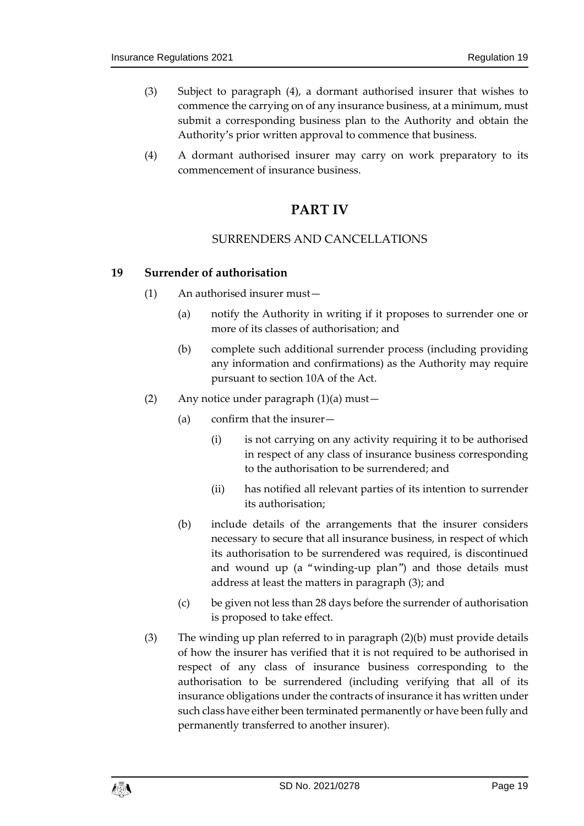- <span id="page-18-3"></span>(3) Subject to paragraph [\(4\),](#page-18-4) a dormant authorised insurer that wishes to commence the carrying on of any insurance business, at a minimum, must submit a corresponding business plan to the Authority and obtain the Authority's prior written approval to commence that business.
- <span id="page-18-4"></span><span id="page-18-0"></span>(4) A dormant authorised insurer may carry on work preparatory to its commencement of insurance business.

## **PART IV**

## SURRENDERS AND CANCELLATIONS

#### <span id="page-18-5"></span><span id="page-18-2"></span><span id="page-18-1"></span>**19 Surrender of authorisation**

- (1) An authorised insurer must—
	- (a) notify the Authority in writing if it proposes to surrender one or more of its classes of authorisation; and
	- (b) complete such additional surrender process (including providing any information and confirmations) as the Authority may require pursuant to section 10A of the Act.
- <span id="page-18-7"></span>(2) Any notice under paragraph [\(1\)\(a\)](#page-18-5) must—
	- (a) confirm that the insurer—
		- (i) is not carrying on any activity requiring it to be authorised in respect of any class of insurance business corresponding to the authorisation to be surrendered; and
		- (ii) has notified all relevant parties of its intention to surrender its authorisation;
	- (b) include details of the arrangements that the insurer considers necessary to secure that all insurance business, in respect of which its authorisation to be surrendered was required, is discontinued and wound up (a "winding-up plan") and those details must address at least the matters in paragraph [\(3\);](#page-18-6) and
	- (c) be given not less than 28 days before the surrender of authorisation is proposed to take effect.
- <span id="page-18-8"></span><span id="page-18-6"></span>(3) The winding up plan referred to in paragraph [\(2\)\(b\)](#page-18-7) must provide details of how the insurer has verified that it is not required to be authorised in respect of any class of insurance business corresponding to the authorisation to be surrendered (including verifying that all of its insurance obligations under the contracts of insurance it has written under such class have either been terminated permanently or have been fully and permanently transferred to another insurer).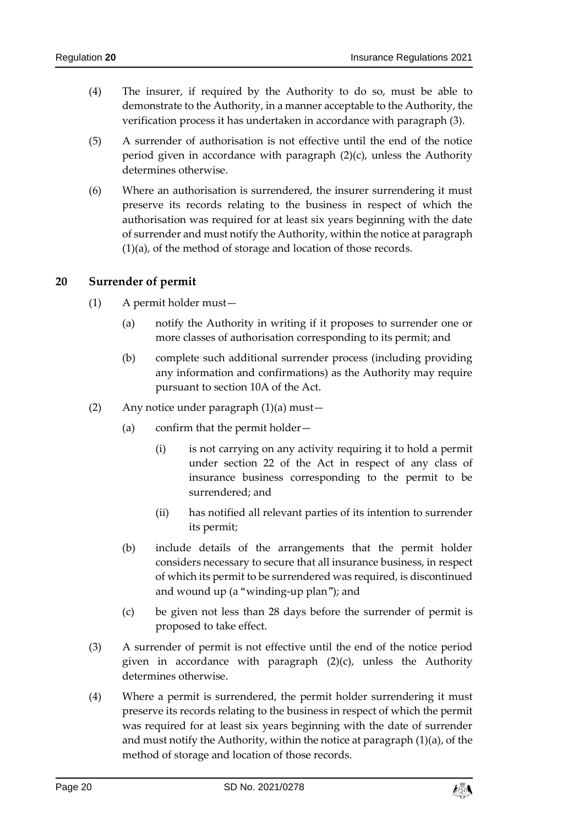- (4) The insurer, if required by the Authority to do so, must be able to demonstrate to the Authority, in a manner acceptable to the Authority, the verification process it has undertaken in accordance with paragraph [\(3\).](#page-18-6)
- (5) A surrender of authorisation is not effective until the end of the notice period given in accordance with paragraph [\(2\)\(c\),](#page-18-8) unless the Authority determines otherwise.
- (6) Where an authorisation is surrendered, the insurer surrendering it must preserve its records relating to the business in respect of which the authorisation was required for at least six years beginning with the date of surrender and must notify the Authority, within the notice at paragraph [\(1\)\(a\),](#page-18-5) of the method of storage and location of those records.

#### <span id="page-19-1"></span><span id="page-19-0"></span>**20 Surrender of permit**

- (1) A permit holder must—
	- (a) notify the Authority in writing if it proposes to surrender one or more classes of authorisation corresponding to its permit; and
	- (b) complete such additional surrender process (including providing any information and confirmations) as the Authority may require pursuant to section 10A of the Act.
- (2) Any notice under paragraph [\(1\)\(a\)](#page-19-1) must—
	- (a) confirm that the permit holder—
		- (i) is not carrying on any activity requiring it to hold a permit under section 22 of the Act in respect of any class of insurance business corresponding to the permit to be surrendered; and
		- (ii) has notified all relevant parties of its intention to surrender its permit;
	- (b) include details of the arrangements that the permit holder considers necessary to secure that all insurance business, in respect of which its permit to be surrendered was required, is discontinued and wound up (a "winding-up plan"); and
	- (c) be given not less than 28 days before the surrender of permit is proposed to take effect.
- <span id="page-19-2"></span>(3) A surrender of permit is not effective until the end of the notice period given in accordance with paragraph [\(2\)\(c\),](#page-19-2) unless the Authority determines otherwise.
- (4) Where a permit is surrendered, the permit holder surrendering it must preserve its records relating to the business in respect of which the permit was required for at least six years beginning with the date of surrender and must notify the Authority, within the notice at paragraph [\(1\)\(a\),](#page-19-1) of the method of storage and location of those records.

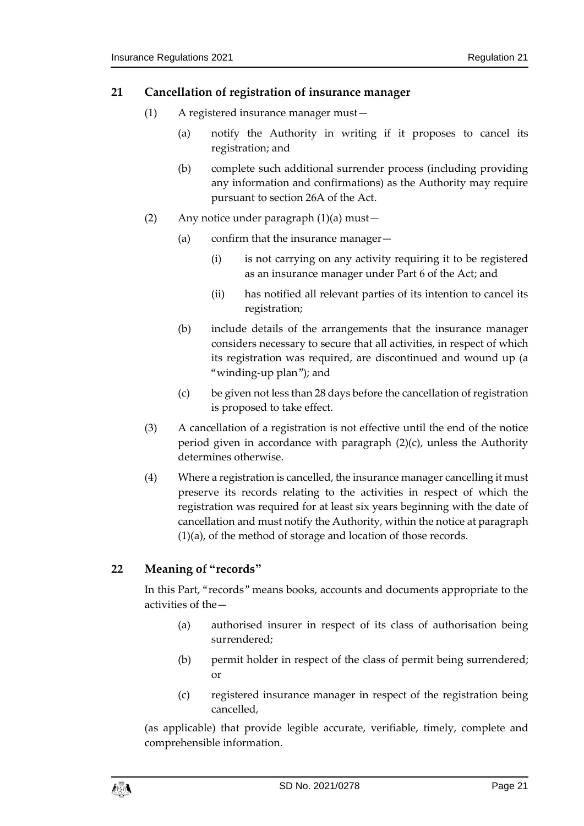## <span id="page-20-2"></span><span id="page-20-0"></span>**21 Cancellation of registration of insurance manager**

- (1) A registered insurance manager must—
	- (a) notify the Authority in writing if it proposes to cancel its registration; and
	- (b) complete such additional surrender process (including providing any information and confirmations) as the Authority may require pursuant to section 26A of the Act.
- (2) Any notice under paragraph [\(1\)\(a\)](#page-20-2) must—
	- (a) confirm that the insurance manager—
		- (i) is not carrying on any activity requiring it to be registered as an insurance manager under Part 6 of the Act; and
		- (ii) has notified all relevant parties of its intention to cancel its registration;
	- (b) include details of the arrangements that the insurance manager considers necessary to secure that all activities, in respect of which its registration was required, are discontinued and wound up (a "winding-up plan"); and
	- (c) be given not less than 28 days before the cancellation of registration is proposed to take effect.
- <span id="page-20-3"></span>(3) A cancellation of a registration is not effective until the end of the notice period given in accordance with paragraph [\(2\)\(c\),](#page-20-3) unless the Authority determines otherwise.
- (4) Where a registration is cancelled, the insurance manager cancelling it must preserve its records relating to the activities in respect of which the registration was required for at least six years beginning with the date of cancellation and must notify the Authority, within the notice at paragraph [\(1\)\(a\),](#page-20-2) of the method of storage and location of those records.

## <span id="page-20-1"></span>**22 Meaning of "records"**

In this Part, "records" means books, accounts and documents appropriate to the activities of the—

- (a) authorised insurer in respect of its class of authorisation being surrendered;
- (b) permit holder in respect of the class of permit being surrendered; or
- (c) registered insurance manager in respect of the registration being cancelled,

(as applicable) that provide legible accurate, verifiable, timely, complete and comprehensible information.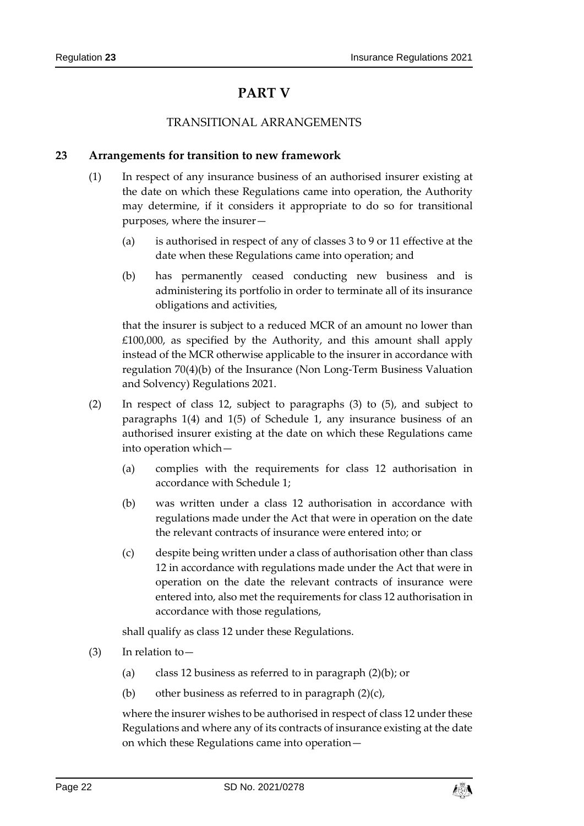## **PART V**

## TRANSITIONAL ARRANGEMENTS

## <span id="page-21-3"></span><span id="page-21-2"></span><span id="page-21-1"></span><span id="page-21-0"></span>**23 Arrangements for transition to new framework**

- (1) In respect of any insurance business of an authorised insurer existing at the date on which these Regulations came into operation, the Authority may determine, if it considers it appropriate to do so for transitional purposes, where the insurer—
	- (a) is authorised in respect of any of classes 3 to 9 or 11 effective at the date when these Regulations came into operation; and
	- (b) has permanently ceased conducting new business and is administering its portfolio in order to terminate all of its insurance obligations and activities,

that the insurer is subject to a reduced MCR of an amount no lower than £100,000, as specified by the Authority, and this amount shall apply instead of the MCR otherwise applicable to the insurer in accordance with regulation 70(4)(b) of the Insurance (Non Long-Term Business Valuation and Solvency) Regulations 2021.

- <span id="page-21-6"></span><span id="page-21-4"></span>(2) In respect of class 12, subject to paragraphs [\(3\)](#page-21-5) to [\(5\),](#page-22-3) and subject to paragraphs [1\(4\)](#page-25-0) and [1\(5\)](#page-25-1) of Schedule 1, any insurance business of an authorised insurer existing at the date on which these Regulations came into operation which—
	- (a) complies with the requirements for class 12 authorisation in accordance with Schedule 1;
	- (b) was written under a class 12 authorisation in accordance with regulations made under the Act that were in operation on the date the relevant contracts of insurance were entered into; or
	- (c) despite being written under a class of authorisation other than class 12 in accordance with regulations made under the Act that were in operation on the date the relevant contracts of insurance were entered into, also met the requirements for class 12 authorisation in accordance with those regulations,

<span id="page-21-7"></span>shall qualify as class 12 under these Regulations.

- <span id="page-21-5"></span>(3) In relation to—
	- (a) class 12 business as referred to in paragraph  $(2)(b)$ ; or
	- (b) other business as referred to in paragraph  $(2)(c)$ ,

where the insurer wishes to be authorised in respect of class 12 under these Regulations and where any of its contracts of insurance existing at the date on which these Regulations came into operation—

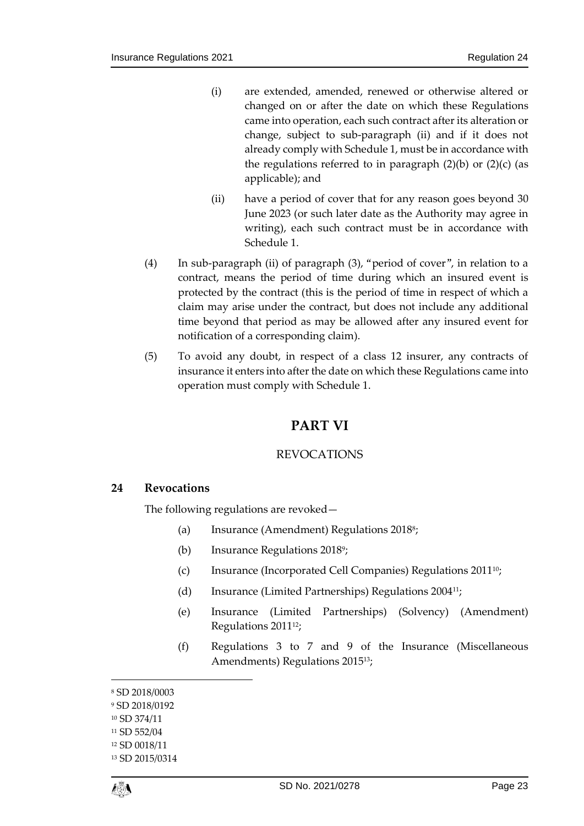- (i) are extended, amended, renewed or otherwise altered or changed on or after the date on which these Regulations came into operation, each such contract after its alteration or change, subject to sub-paragraph [\(ii\)](#page-22-4) and if it does not already comply with Schedule 1, must be in accordance with the regulations referred to in paragraph  $(2)(b)$  or  $(2)(c)$  (as applicable); and
- (ii) have a period of cover that for any reason goes beyond 30 June 2023 (or such later date as the Authority may agree in writing), each such contract must be in accordance with Schedule 1.
- <span id="page-22-4"></span>(4) In sub-paragraph [\(ii\)](#page-22-4) of paragraph [\(3\),](#page-21-5) "period of cover", in relation to a contract, means the period of time during which an insured event is protected by the contract (this is the period of time in respect of which a claim may arise under the contract, but does not include any additional time beyond that period as may be allowed after any insured event for notification of a corresponding claim).
- <span id="page-22-3"></span><span id="page-22-0"></span>(5) To avoid any doubt, in respect of a class 12 insurer, any contracts of insurance it enters into after the date on which these Regulations came into operation must comply with Schedule 1.

## **PART VI**

## REVOCATIONS

## <span id="page-22-2"></span><span id="page-22-1"></span>**24 Revocations**

The following regulations are revoked—

- (a) Insurance (Amendment) Regulations 2018<sup>8</sup>;
- (b) Insurance Regulations 2018<sup>9</sup>;
- (c) Insurance (Incorporated Cell Companies) Regulations 201110;
- (d) Insurance (Limited Partnerships) Regulations 200411;
- (e) Insurance (Limited Partnerships) (Solvency) (Amendment) Regulations 2011<sup>12</sup>;
- (f) Regulations 3 to 7 and 9 of the Insurance (Miscellaneous Amendments) Regulations 201513;

1

<sup>8</sup> SD 2018/0003

<sup>9</sup> SD 2018/0192

<sup>10</sup> SD 374/11

<sup>11</sup> SD 552/04

<sup>12</sup> SD 0018/11

<sup>13</sup> SD 2015/0314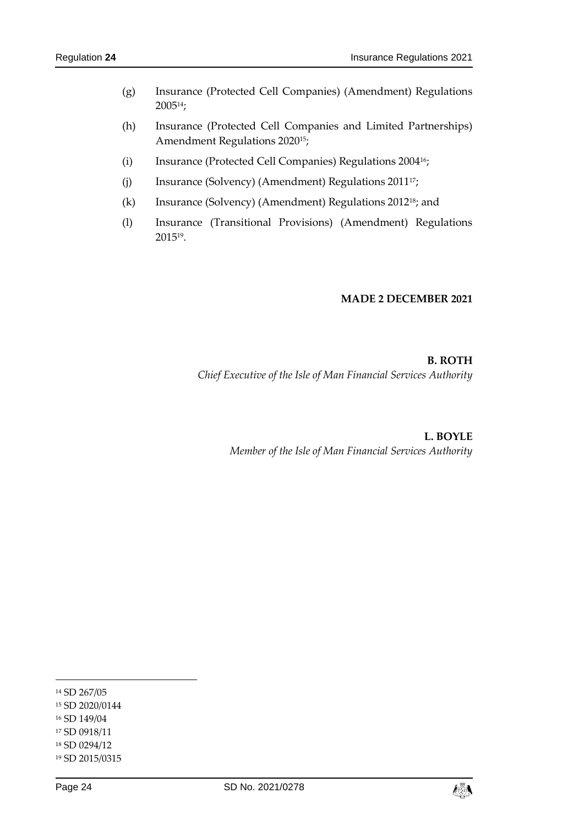- (g) Insurance (Protected Cell Companies) (Amendment) Regulations 200514;
- (h) Insurance (Protected Cell Companies and Limited Partnerships) Amendment Regulations 202015;
- (i) Insurance (Protected Cell Companies) Regulations 200416;
- (j) Insurance (Solvency) (Amendment) Regulations 201117;
- (k) Insurance (Solvency) (Amendment) Regulations 201218; and
- (l) Insurance (Transitional Provisions) (Amendment) Regulations 2015<sup>19</sup> .

#### **MADE 2 DECEMBER 2021**

**B. ROTH** *Chief Executive of the Isle of Man Financial Services Authority*

> **L. BOYLE** *Member of the Isle of Man Financial Services Authority*

-



<sup>14</sup> SD 267/05 <sup>15</sup> SD 2020/0144 <sup>16</sup> SD 149/04 <sup>17</sup> SD 0918/11 <sup>18</sup> SD 0294/12 <sup>19</sup> SD 2015/0315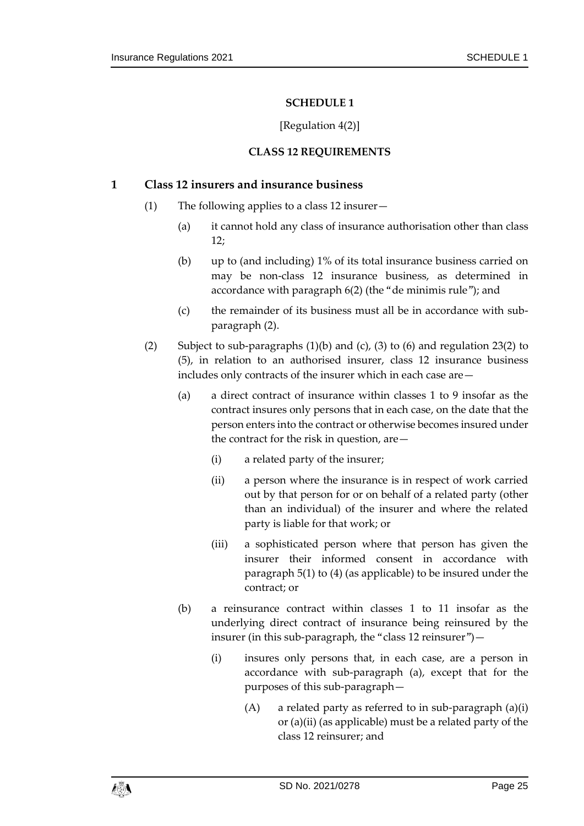## [Regulation [4\(2\)\]](#page-6-1)

## **CLASS 12 REQUIREMENTS**

#### <span id="page-24-10"></span><span id="page-24-1"></span><span id="page-24-0"></span>**1 Class 12 insurers and insurance business**

- <span id="page-24-3"></span>(1) The following applies to a class 12 insurer—
	- (a) it cannot hold any class of insurance authorisation other than class 12;
	- (b) up to (and including) 1% of its total insurance business carried on may be non-class 12 insurance business, as determined in accordance with paragraph [6\(2\)](#page-33-0) (the "de minimis rule"); and
	- (c) the remainder of its business must all be in accordance with subparagraph [\(2\).](#page-24-2)
- <span id="page-24-9"></span><span id="page-24-8"></span><span id="page-24-7"></span><span id="page-24-6"></span><span id="page-24-5"></span><span id="page-24-4"></span><span id="page-24-2"></span>(2) Subject to sub-paragraphs (1[\)\(b\)](#page-24-3) and [\(c\),](#page-24-4) [\(3\)](#page-25-2) to [\(6\)](#page-26-0) and regulation [23\(2\)](#page-21-4) to [\(5\),](#page-22-3) in relation to an authorised insurer, class 12 insurance business includes only contracts of the insurer which in each case are—
	- (a) a direct contract of insurance within classes 1 to 9 insofar as the contract insures only persons that in each case, on the date that the person enters into the contract or otherwise becomes insured under the contract for the risk in question, are—
		- (i) a related party of the insurer;
		- (ii) a person where the insurance is in respect of work carried out by that person for or on behalf of a related party (other than an individual) of the insurer and where the related party is liable for that work; or
		- (iii) a sophisticated person where that person has given the insurer their informed consent in accordance with paragraph [5\(1\)](#page-30-0) to [\(4\)](#page-31-0) (as applicable) to be insured under the contract; or
	- (b) a reinsurance contract within classes 1 to 11 insofar as the underlying direct contract of insurance being reinsured by the insurer (in this sub-paragraph, the "class 12 reinsurer")—
		- (i) insures only persons that, in each case, are a person in accordance with sub-paragraph [\(a\),](#page-24-5) except that for the purposes of this sub-paragraph—
			- $(A)$  a related party as referred to in sub-paragraph  $(a)(i)$ or [\(a\)\(ii\)](#page-24-7) (as applicable) must be a related party of the class 12 reinsurer; and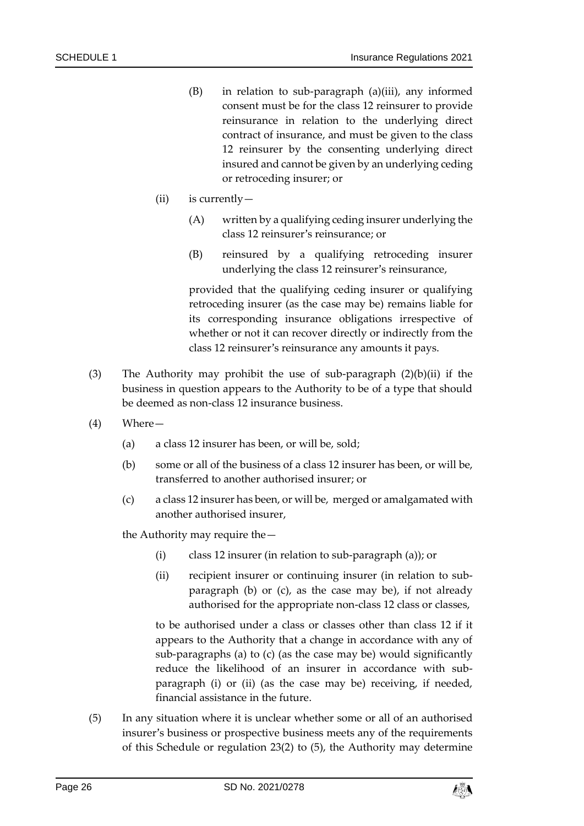- (B) in relation to sub-paragraph [\(a\)\(iii\),](#page-24-8) any informed consent must be for the class 12 reinsurer to provide reinsurance in relation to the underlying direct contract of insurance, and must be given to the class 12 reinsurer by the consenting underlying direct insured and cannot be given by an underlying ceding or retroceding insurer; or
- <span id="page-25-3"></span>(ii) is currently—
	- (A) written by a qualifying ceding insurer underlying the class 12 reinsurer's reinsurance; or
	- (B) reinsured by a qualifying retroceding insurer underlying the class 12 reinsurer's reinsurance,

provided that the qualifying ceding insurer or qualifying retroceding insurer (as the case may be) remains liable for its corresponding insurance obligations irrespective of whether or not it can recover directly or indirectly from the class 12 reinsurer's reinsurance any amounts it pays.

- <span id="page-25-2"></span>(3) The Authority may prohibit the use of sub-paragraph  $(2)(b)(ii)$  $(2)(b)(ii)$  if the business in question appears to the Authority to be of a type that should be deemed as non-class 12 insurance business.
- <span id="page-25-6"></span><span id="page-25-5"></span><span id="page-25-4"></span><span id="page-25-0"></span>(4) Where—
	- (a) a class 12 insurer has been, or will be, sold;
	- (b) some or all of the business of a class 12 insurer has been, or will be, transferred to another authorised insurer; or
	- (c) a class 12 insurer has been, or will be, merged or amalgamated with another authorised insurer,

<span id="page-25-8"></span><span id="page-25-7"></span>the Authority may require the—

- (i) class 12 insurer (in relation to sub-paragraph [\(a\)\)](#page-25-4); or
- (ii) recipient insurer or continuing insurer (in relation to subparagraph [\(b\)](#page-25-5) or [\(c\),](#page-25-6) as the case may be), if not already authorised for the appropriate non-class 12 class or classes,

to be authorised under a class or classes other than class 12 if it appears to the Authority that a change in accordance with any of sub-paragraphs [\(a\)](#page-25-4) to [\(c\)](#page-25-6) (as the case may be) would significantly reduce the likelihood of an insurer in accordance with subparagraph [\(i\)](#page-25-7) or [\(ii\)](#page-25-8) (as the case may be) receiving, if needed, financial assistance in the future.

<span id="page-25-1"></span>(5) In any situation where it is unclear whether some or all of an authorised insurer's business or prospective business meets any of the requirements of this Schedule or regulation [23\(2\)](#page-21-4) to [\(5\),](#page-22-3) the Authority may determine

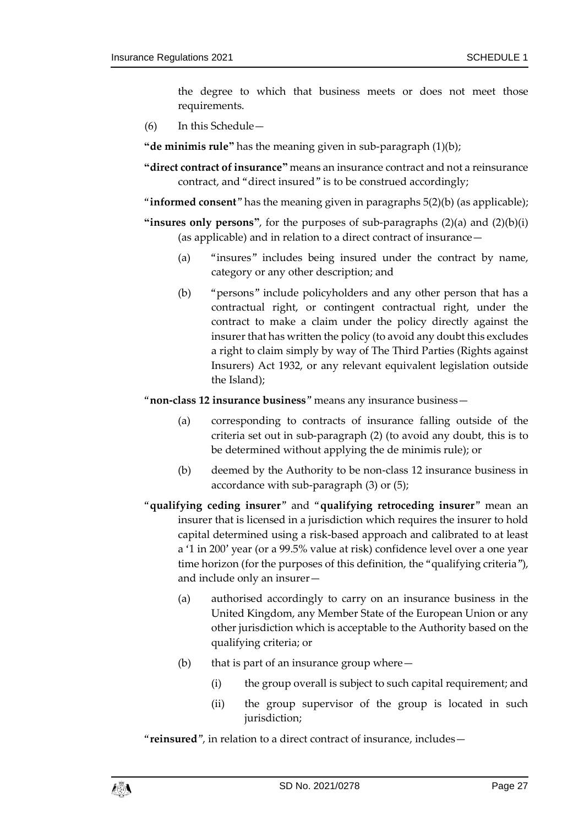the degree to which that business meets or does not meet those requirements.

<span id="page-26-0"></span>(6) In this Schedule—

**"de minimis rule"** has the meaning given in sub-paragraph (1[\)\(b\);](#page-24-3)

- **"direct contract of insurance"** means an insurance contract and not a reinsurance contract, and "direct insured" is to be construed accordingly;
- "**informed consent**" has the meaning given in paragraphs [5\(2\)\(b\)](#page-31-1) (as applicable);
- **"insures only persons"**, for the purposes of sub-paragraphs [\(2\)\(a\)](#page-24-5) and [\(2\)\(b\)\(i\)](#page-24-9) (as applicable) and in relation to a direct contract of insurance—
	- (a) "insures" includes being insured under the contract by name, category or any other description; and
	- (b) "persons" include policyholders and any other person that has a contractual right, or contingent contractual right, under the contract to make a claim under the policy directly against the insurer that has written the policy (to avoid any doubt this excludes a right to claim simply by way of The Third Parties (Rights against Insurers) Act 1932, or any relevant equivalent legislation outside the Island);

"**non-class 12 insurance business**" means any insurance business—

- (a) corresponding to contracts of insurance falling outside of the criteria set out in sub-paragraph [\(2\)](#page-24-2) (to avoid any doubt, this is to be determined without applying the de minimis rule); or
- (b) deemed by the Authority to be non-class 12 insurance business in accordance with sub-paragraph [\(3\)](#page-25-2) or [\(5\);](#page-25-1)
- "**qualifying ceding insurer**" and "**qualifying retroceding insurer**" mean an insurer that is licensed in a jurisdiction which requires the insurer to hold capital determined using a risk-based approach and calibrated to at least a '1 in 200' year (or a 99.5% value at risk) confidence level over a one year time horizon (for the purposes of this definition, the "qualifying criteria"), and include only an insurer—
	- (a) authorised accordingly to carry on an insurance business in the United Kingdom, any Member State of the European Union or any other jurisdiction which is acceptable to the Authority based on the qualifying criteria; or
	- (b) that is part of an insurance group where—
		- (i) the group overall is subject to such capital requirement; and
		- (ii) the group supervisor of the group is located in such jurisdiction:

"**reinsured**", in relation to a direct contract of insurance, includes—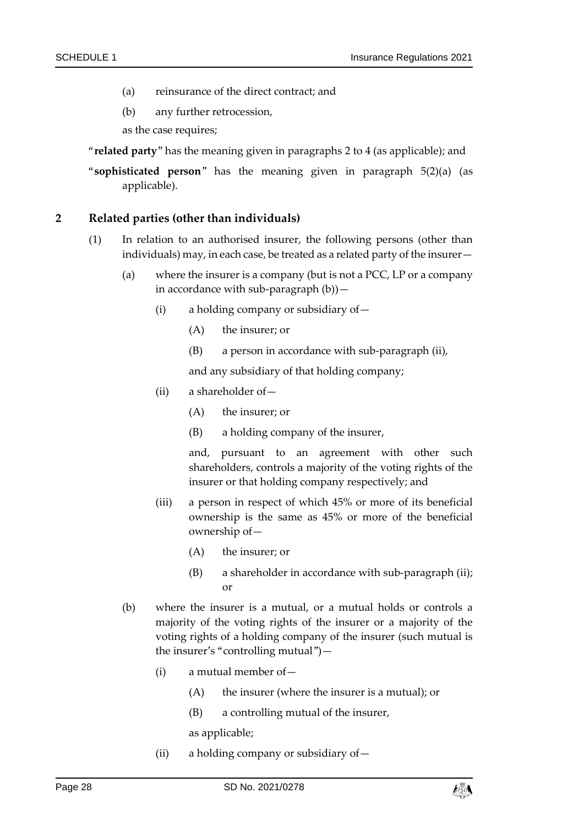- (a) reinsurance of the direct contract; and
- (b) any further retrocession,

as the case requires;

- "**related party**" has the meaning given in paragraphs [2](#page-27-0) to [4](#page-29-0) (as applicable); and
- "**sophisticated person**" has the meaning given in paragraph [5\(2\)\(a\)](#page-30-1) (as applicable).

#### <span id="page-27-0"></span>**2 Related parties (other than individuals)**

- (1) In relation to an authorised insurer, the following persons (other than individuals) may, in each case, be treated as a related party of the insurer—
	- (a) where the insurer is a company (but is not a PCC, LP or a company in accordance with sub-paragraph  $(b)$ ) —
		- (i) a holding company or subsidiary of  $-$ 
			- (A) the insurer; or
			- (B) a person in accordance with sub-paragraph [\(ii\),](#page-27-2)

and any subsidiary of that holding company;

- <span id="page-27-2"></span>(ii) a shareholder of—
	- (A) the insurer; or
	- (B) a holding company of the insurer,

and, pursuant to an agreement with other such shareholders, controls a majority of the voting rights of the insurer or that holding company respectively; and

- (iii) a person in respect of which 45% or more of its beneficial ownership is the same as 45% or more of the beneficial ownership of—
	- (A) the insurer; or
	- (B) a shareholder in accordance with sub-paragraph [\(ii\);](#page-27-2) or
- <span id="page-27-3"></span><span id="page-27-1"></span>(b) where the insurer is a mutual, or a mutual holds or controls a majority of the voting rights of the insurer or a majority of the voting rights of a holding company of the insurer (such mutual is the insurer's "controlling mutual")—
	- (i) a mutual member of—
		- (A) the insurer (where the insurer is a mutual); or
		- (B) a controlling mutual of the insurer,

as applicable;

(ii) a holding company or subsidiary of  $-$ 

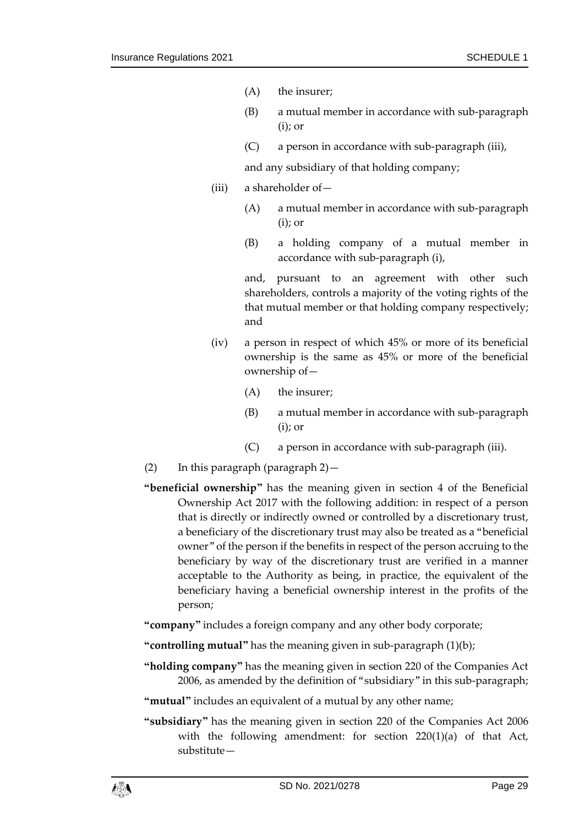- (A) the insurer;
- (B) a mutual member in accordance with sub-paragraph [\(i\);](#page-27-3) or
- (C) a person in accordance with sub-paragraph [\(iii\),](#page-28-0)

and any subsidiary of that holding company;

- <span id="page-28-0"></span>(iii) a shareholder of—
	- (A) a mutual member in accordance with sub-paragraph [\(i\);](#page-27-3) or
	- (B) a holding company of a mutual member in accordance with sub-paragraph [\(i\),](#page-27-3)

and, pursuant to an agreement with other such shareholders, controls a majority of the voting rights of the that mutual member or that holding company respectively; and

- (iv) a person in respect of which 45% or more of its beneficial ownership is the same as 45% or more of the beneficial ownership of—
	- (A) the insurer;
	- (B) a mutual member in accordance with sub-paragraph [\(i\);](#page-27-3) or
	- (C) a person in accordance with sub-paragraph [\(iii\).](#page-28-0)
- (2) In this paragraph (paragraph [2\)](#page-27-0)—
- **"beneficial ownership"** has the meaning given in section 4 of the Beneficial Ownership Act 2017 with the following addition: in respect of a person that is directly or indirectly owned or controlled by a discretionary trust, a beneficiary of the discretionary trust may also be treated as a "beneficial owner" of the person if the benefits in respect of the person accruing to the beneficiary by way of the discretionary trust are verified in a manner acceptable to the Authority as being, in practice, the equivalent of the beneficiary having a beneficial ownership interest in the profits of the person;
- **"company"** includes a foreign company and any other body corporate;
- **"controlling mutual"** has the meaning given in sub-paragraph (1[\)\(b\);](#page-27-1)
- **"holding company"** has the meaning given in section 220 of the Companies Act 2006, as amended by the definition of "subsidiary" in this sub-paragraph;
- **"mutual"** includes an equivalent of a mutual by any other name;
- **"subsidiary"** has the meaning given in section 220 of the Companies Act 2006 with the following amendment: for section 220(1)(a) of that Act, substitute—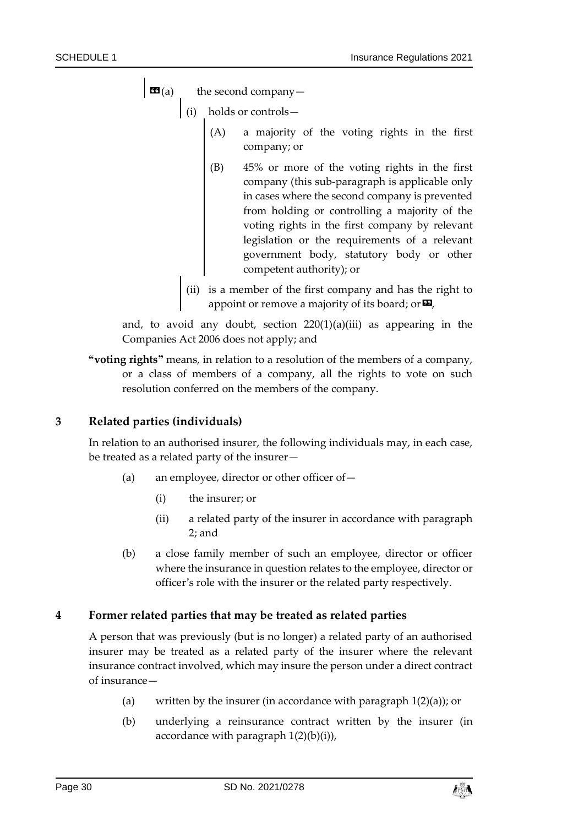**the second company—** 

- (i) holds or controls—
	- (A) a majority of the voting rights in the first company; or
	- (B) 45% or more of the voting rights in the first company (this sub-paragraph is applicable only in cases where the second company is prevented from holding or controlling a majority of the voting rights in the first company by relevant legislation or the requirements of a relevant government body, statutory body or other competent authority); or
- (ii) is a member of the first company and has the right to appoint or remove a majority of its board; or  $\boldsymbol{\Xi}$ ,

and, to avoid any doubt, section 220(1)(a)(iii) as appearing in the Companies Act 2006 does not apply; and

**"voting rights"** means, in relation to a resolution of the members of a company, or a class of members of a company, all the rights to vote on such resolution conferred on the members of the company.

## **3 Related parties (individuals)**

In relation to an authorised insurer, the following individuals may, in each case, be treated as a related party of the insurer—

- (a) an employee, director or other officer of—
	- (i) the insurer; or
	- (ii) a related party of the insurer in accordance with paragraph [2;](#page-27-0) and
- (b) a close family member of such an employee, director or officer where the insurance in question relates to the employee, director or officer's role with the insurer or the related party respectively.

## <span id="page-29-0"></span>**4 Former related parties that may be treated as related parties**

A person that was previously (but is no longer) a related party of an authorised insurer may be treated as a related party of the insurer where the relevant insurance contract involved, which may insure the person under a direct contract of insurance—

- (a) written by the insurer (in accordance with paragraph  $1(2)(a)$ ); or
- (b) underlying a reinsurance contract written by the insurer (in accordance with paragraph  $1(2)(b)(i)$ ),

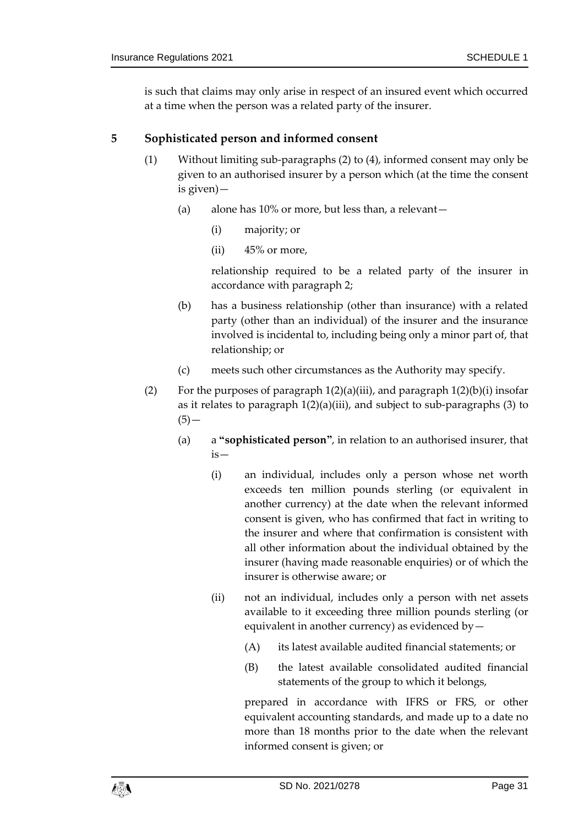is such that claims may only arise in respect of an insured event which occurred at a time when the person was a related party of the insurer.

## <span id="page-30-3"></span><span id="page-30-0"></span>**5 Sophisticated person and informed consent**

- (1) Without limiting sub-paragraphs [\(2\)](#page-30-2) to [\(4\),](#page-31-0) informed consent may only be given to an authorised insurer by a person which (at the time the consent is given)—
	- (a) alone has 10% or more, but less than, a relevant—
		- (i) majority; or
		- $(ii)$  45% or more,

relationship required to be a related party of the insurer in accordance with paragraph [2;](#page-27-0)

- (b) has a business relationship (other than insurance) with a related party (other than an individual) of the insurer and the insurance involved is incidental to, including being only a minor part of, that relationship; or
- (c) meets such other circumstances as the Authority may specify.
- <span id="page-30-2"></span><span id="page-30-1"></span>(2) For the purposes of paragraph  $1(2)(a)(iii)$ , and paragraph  $1(2)(b)(i)$  insofar as it relates to paragraph  $1(2)(a)(iii)$ , and subject to sub-paragraphs [\(3\)](#page-31-2) to  $(5)$ —
	- (a) a **"sophisticated person"**, in relation to an authorised insurer, that is—
		- (i) an individual, includes only a person whose net worth exceeds ten million pounds sterling (or equivalent in another currency) at the date when the relevant informed consent is given, who has confirmed that fact in writing to the insurer and where that confirmation is consistent with all other information about the individual obtained by the insurer (having made reasonable enquiries) or of which the insurer is otherwise aware; or
		- (ii) not an individual, includes only a person with net assets available to it exceeding three million pounds sterling (or equivalent in another currency) as evidenced by—
			- (A) its latest available audited financial statements; or
			- (B) the latest available consolidated audited financial statements of the group to which it belongs,

prepared in accordance with IFRS or FRS, or other equivalent accounting standards, and made up to a date no more than 18 months prior to the date when the relevant informed consent is given; or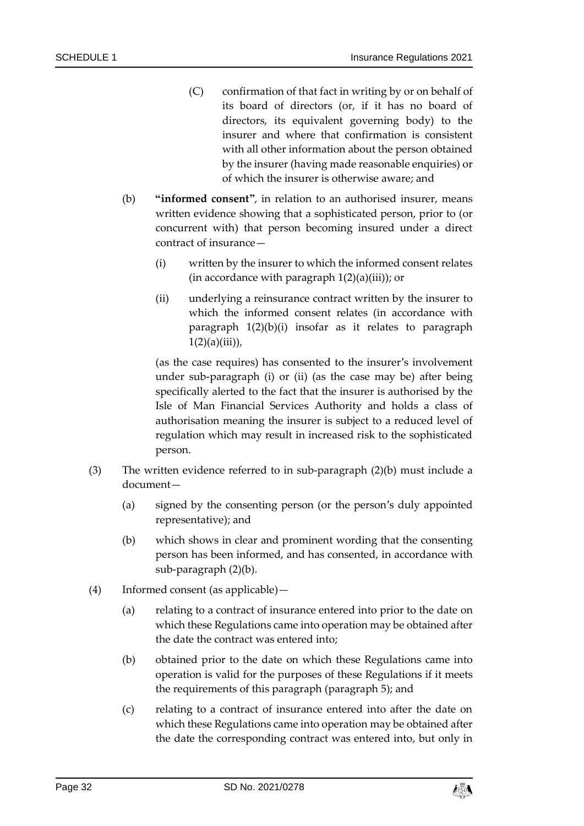- (C) confirmation of that fact in writing by or on behalf of its board of directors (or, if it has no board of directors, its equivalent governing body) to the insurer and where that confirmation is consistent with all other information about the person obtained by the insurer (having made reasonable enquiries) or of which the insurer is otherwise aware; and
- <span id="page-31-4"></span><span id="page-31-3"></span><span id="page-31-1"></span>(b) **"informed consent"**, in relation to an authorised insurer, means written evidence showing that a sophisticated person, prior to (or concurrent with) that person becoming insured under a direct contract of insurance—
	- (i) written by the insurer to which the informed consent relates (in accordance with paragraph  $1(2)(a)(iii)$ ); or
	- (ii) underlying a reinsurance contract written by the insurer to which the informed consent relates (in accordance with paragraph [1\(2\)\(b\)\(i\)](#page-24-9) insofar as it relates to paragraph  $1(2)(a)(iii)$ ,

(as the case requires) has consented to the insurer's involvement under sub-paragraph [\(i\)](#page-31-3) or [\(ii\)](#page-31-4) (as the case may be) after being specifically alerted to the fact that the insurer is authorised by the Isle of Man Financial Services Authority and holds a class of authorisation meaning the insurer is subject to a reduced level of regulation which may result in increased risk to the sophisticated person.

- <span id="page-31-2"></span>(3) The written evidence referred to in sub-paragraph  $(2)(b)$  $(2)(b)$  must include a document—
	- (a) signed by the consenting person (or the person's duly appointed representative); and
	- (b) which shows in clear and prominent wording that the consenting person has been informed, and has consented, in accordance with sub-paragraph (2[\)\(b\).](#page-31-1)
- <span id="page-31-0"></span>(4) Informed consent (as applicable)—
	- (a) relating to a contract of insurance entered into prior to the date on which these Regulations came into operation may be obtained after the date the contract was entered into;
	- (b) obtained prior to the date on which these Regulations came into operation is valid for the purposes of these Regulations if it meets the requirements of this paragraph (paragraph [5\)](#page-30-3); and
	- (c) relating to a contract of insurance entered into after the date on which these Regulations came into operation may be obtained after the date the corresponding contract was entered into, but only in

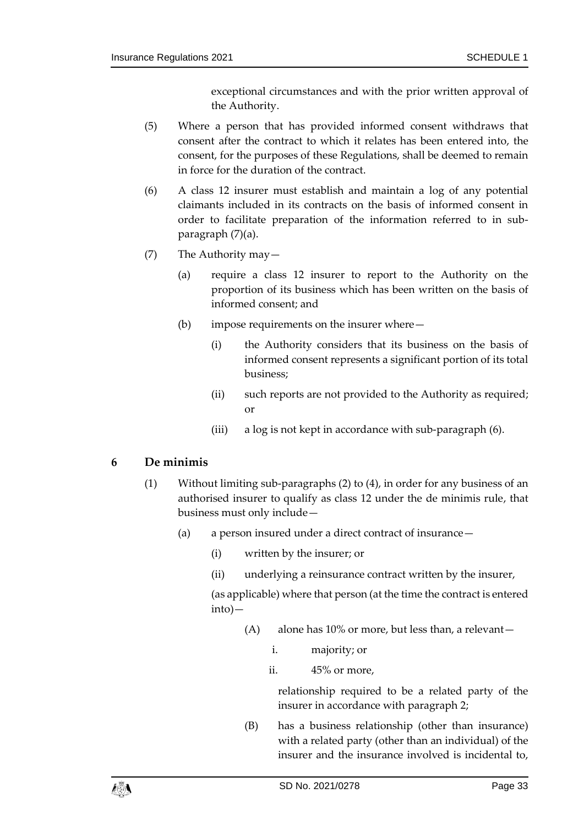exceptional circumstances and with the prior written approval of the Authority.

- <span id="page-32-1"></span>(5) Where a person that has provided informed consent withdraws that consent after the contract to which it relates has been entered into, the consent, for the purposes of these Regulations, shall be deemed to remain in force for the duration of the contract.
- <span id="page-32-2"></span>(6) A class 12 insurer must establish and maintain a log of any potential claimants included in its contracts on the basis of informed consent in order to facilitate preparation of the information referred to in subparagraph [\(7\)\(a\).](#page-32-0)
- <span id="page-32-0"></span>(7) The Authority may—
	- (a) require a class 12 insurer to report to the Authority on the proportion of its business which has been written on the basis of informed consent; and
	- (b) impose requirements on the insurer where—
		- (i) the Authority considers that its business on the basis of informed consent represents a significant portion of its total business;
		- (ii) such reports are not provided to the Authority as required; or
		- (iii) a log is not kept in accordance with sub-paragrap[h \(6\).](#page-32-2)

## **6 De minimis**

- (1) Without limiting sub-paragraphs [\(2\)](#page-33-0) to [\(4\),](#page-33-1) in order for any business of an authorised insurer to qualify as class 12 under the de minimis rule, that business must only include—
	- (a) a person insured under a direct contract of insurance—
		- (i) written by the insurer; or
		- (ii) underlying a reinsurance contract written by the insurer,

(as applicable) where that person (at the time the contract is entered into)—

- (A) alone has 10% or more, but less than, a relevant
	- i. majority; or
	- ii. 45% or more,

relationship required to be a related party of the insurer in accordance with paragraph [2;](#page-27-0)

(B) has a business relationship (other than insurance) with a related party (other than an individual) of the insurer and the insurance involved is incidental to,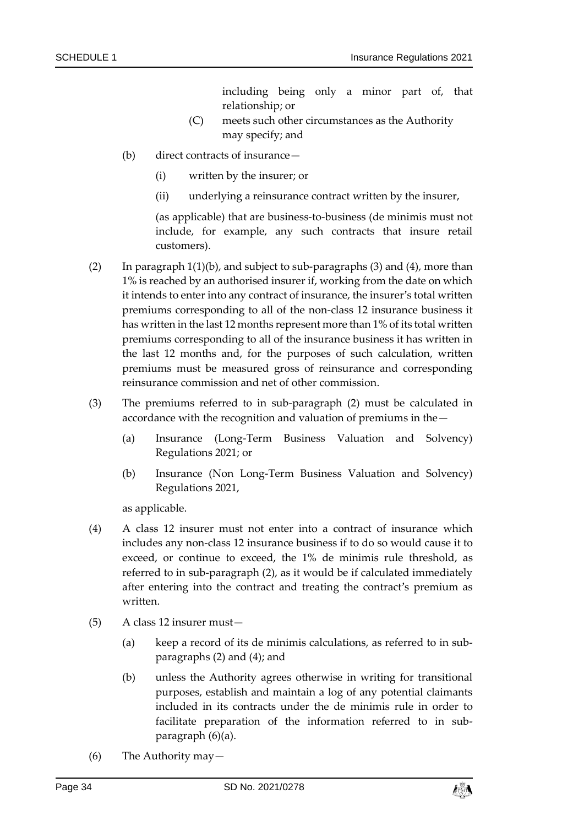including being only a minor part of, that relationship; or

- (C) meets such other circumstances as the Authority may specify; and
- (b) direct contracts of insurance—
	- (i) written by the insurer; or
	- (ii) underlying a reinsurance contract written by the insurer,

(as applicable) that are business-to-business (de minimis must not include, for example, any such contracts that insure retail customers).

- <span id="page-33-0"></span>(2) In paragraph  $1(1)(b)$ , and subject to sub-paragraphs [\(3\)](#page-33-2) and [\(4\),](#page-33-1) more than 1% is reached by an authorised insurer if, working from the date on which it intends to enter into any contract of insurance, the insurer's total written premiums corresponding to all of the non-class 12 insurance business it has written in the last 12 months represent more than 1% of its total written premiums corresponding to all of the insurance business it has written in the last 12 months and, for the purposes of such calculation, written premiums must be measured gross of reinsurance and corresponding reinsurance commission and net of other commission.
- <span id="page-33-2"></span>(3) The premiums referred to in sub-paragraph [\(2\)](#page-33-0) must be calculated in accordance with the recognition and valuation of premiums in the—
	- (a) Insurance (Long-Term Business Valuation and Solvency) Regulations 2021; or
	- (b) Insurance (Non Long-Term Business Valuation and Solvency) Regulations 2021,

as applicable.

- <span id="page-33-1"></span>(4) A class 12 insurer must not enter into a contract of insurance which includes any non-class 12 insurance business if to do so would cause it to exceed, or continue to exceed, the 1% de minimis rule threshold, as referred to in sub-paragraph [\(2\),](#page-33-0) as it would be if calculated immediately after entering into the contract and treating the contract's premium as written.
- <span id="page-33-3"></span>(5) A class 12 insurer must—
	- (a) keep a record of its de minimis calculations, as referred to in subparagraphs [\(2\)](#page-33-0) and [\(4\);](#page-33-1) and
	- (b) unless the Authority agrees otherwise in writing for transitional purposes, establish and maintain a log of any potential claimants included in its contracts under the de minimis rule in order to facilitate preparation of the information referred to in subparagraph [\(6\)\(a\).](#page-34-0)
- (6) The Authority may—

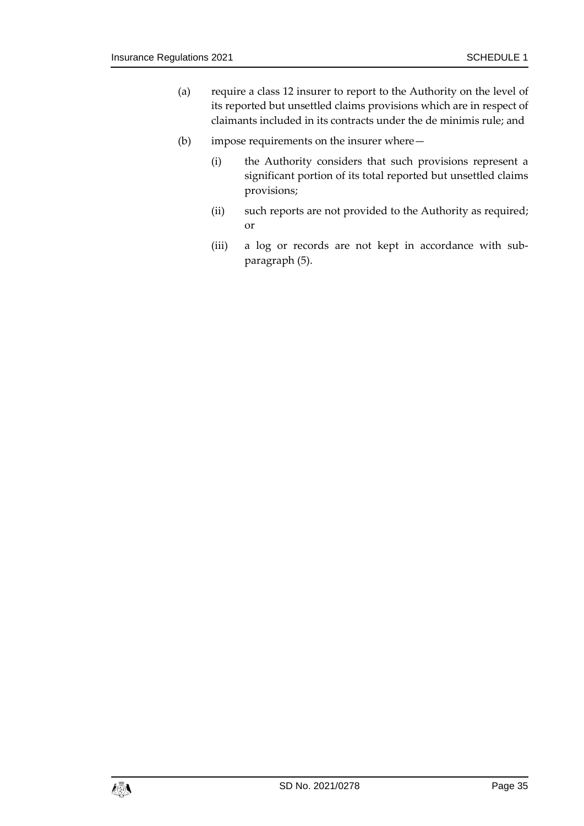- <span id="page-34-0"></span>(a) require a class 12 insurer to report to the Authority on the level of its reported but unsettled claims provisions which are in respect of claimants included in its contracts under the de minimis rule; and
- (b) impose requirements on the insurer where—
	- (i) the Authority considers that such provisions represent a significant portion of its total reported but unsettled claims provisions;
	- (ii) such reports are not provided to the Authority as required; or
	- (iii) a log or records are not kept in accordance with subparagraph [\(5\).](#page-33-3)

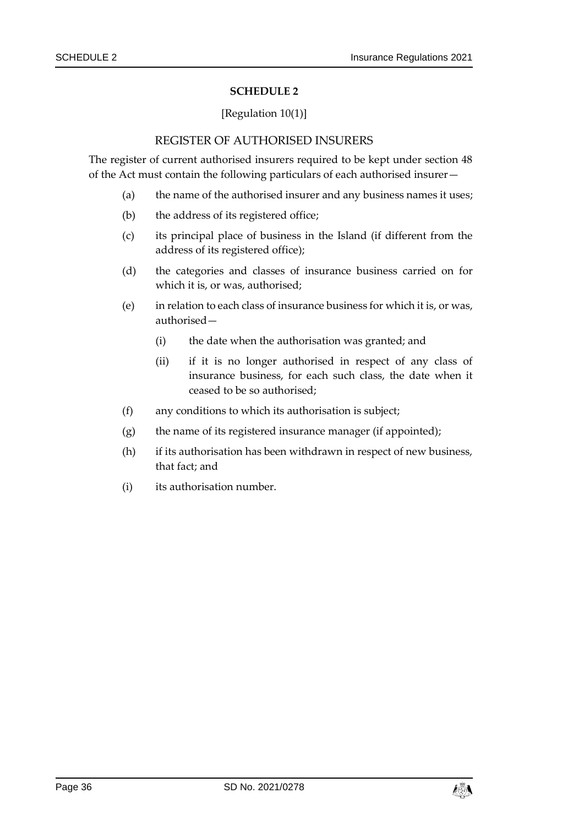#### [Regulation [10\(1\)\]](#page-10-3)

#### REGISTER OF AUTHORISED INSURERS

<span id="page-35-1"></span><span id="page-35-0"></span>The register of current authorised insurers required to be kept under section 48 of the Act must contain the following particulars of each authorised insurer—

- (a) the name of the authorised insurer and any business names it uses;
- (b) the address of its registered office;
- (c) its principal place of business in the Island (if different from the address of its registered office);
- (d) the categories and classes of insurance business carried on for which it is, or was, authorised;
- (e) in relation to each class of insurance business for which it is, or was, authorised—
	- (i) the date when the authorisation was granted; and
	- (ii) if it is no longer authorised in respect of any class of insurance business, for each such class, the date when it ceased to be so authorised;
- (f) any conditions to which its authorisation is subject;
- (g) the name of its registered insurance manager (if appointed);
- (h) if its authorisation has been withdrawn in respect of new business, that fact; and
- (i) its authorisation number.

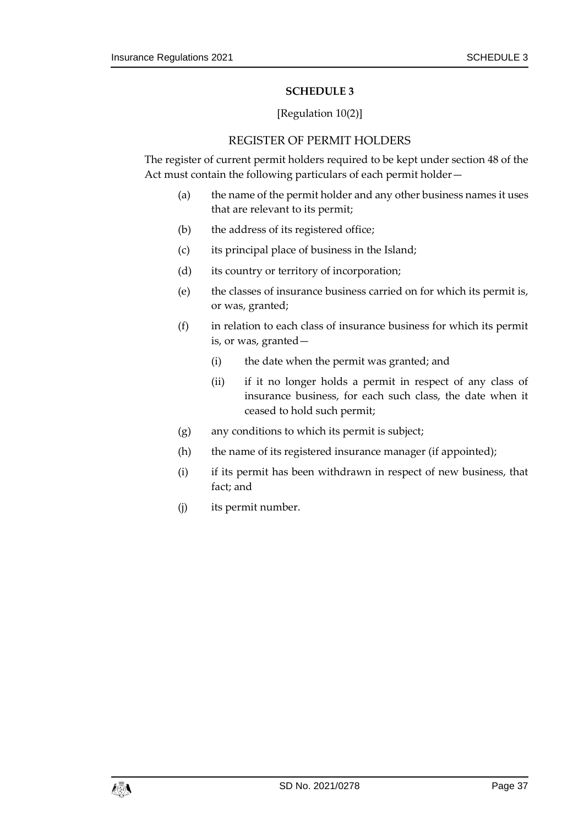#### [Regulation [10\(2\)\]](#page-10-4)

## REGISTER OF PERMIT HOLDERS

<span id="page-36-1"></span><span id="page-36-0"></span>The register of current permit holders required to be kept under section 48 of the Act must contain the following particulars of each permit holder—

- (a) the name of the permit holder and any other business names it uses that are relevant to its permit;
- (b) the address of its registered office;
- (c) its principal place of business in the Island;
- (d) its country or territory of incorporation;
- (e) the classes of insurance business carried on for which its permit is, or was, granted;
- (f) in relation to each class of insurance business for which its permit is, or was, granted—
	- (i) the date when the permit was granted; and
	- (ii) if it no longer holds a permit in respect of any class of insurance business, for each such class, the date when it ceased to hold such permit;
- (g) any conditions to which its permit is subject;
- (h) the name of its registered insurance manager (if appointed);
- (i) if its permit has been withdrawn in respect of new business, that fact; and
- (j) its permit number.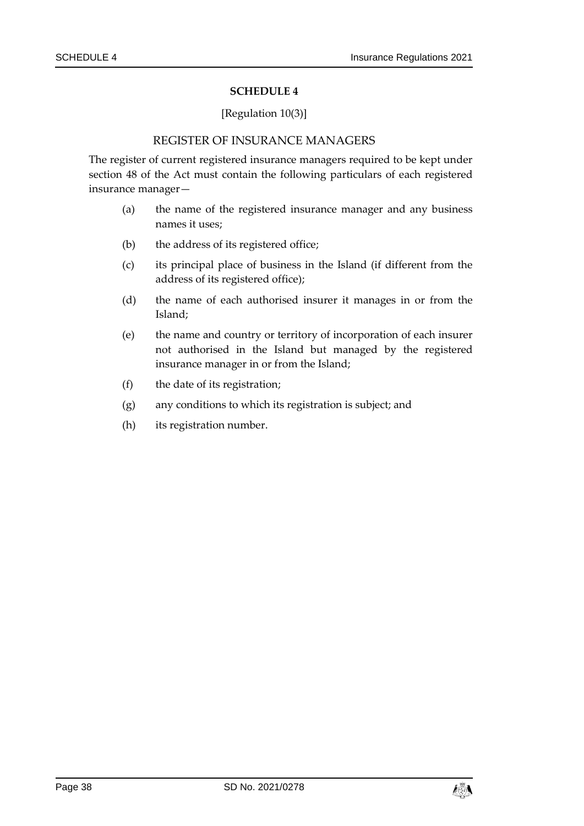#### [Regulation [10\(3\)\]](#page-10-5)

#### REGISTER OF INSURANCE MANAGERS

<span id="page-37-1"></span><span id="page-37-0"></span>The register of current registered insurance managers required to be kept under section 48 of the Act must contain the following particulars of each registered insurance manager—

- (a) the name of the registered insurance manager and any business names it uses;
- (b) the address of its registered office;
- (c) its principal place of business in the Island (if different from the address of its registered office);
- (d) the name of each authorised insurer it manages in or from the Island;
- (e) the name and country or territory of incorporation of each insurer not authorised in the Island but managed by the registered insurance manager in or from the Island;
- (f) the date of its registration;
- (g) any conditions to which its registration is subject; and
- (h) its registration number.

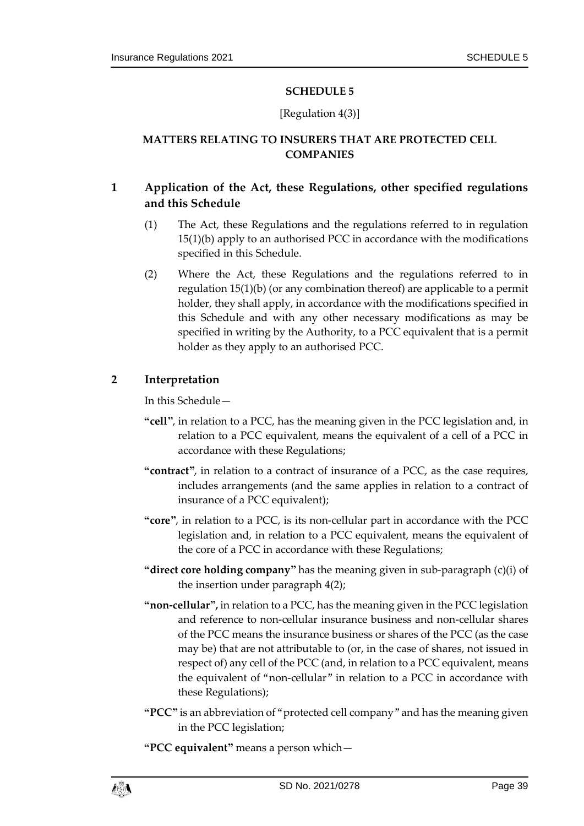## [Regulation [4\(3\)\]](#page-6-2)

## <span id="page-38-1"></span><span id="page-38-0"></span>**MATTERS RELATING TO INSURERS THAT ARE PROTECTED CELL COMPANIES**

## <span id="page-38-3"></span>**1 Application of the Act, these Regulations, other specified regulations and this Schedule**

- (1) The Act, these Regulations and the regulations referred to in regulation [15\(1\)\(b\)](#page-13-7) apply to an authorised PCC in accordance with the modifications specified in this Schedule.
- <span id="page-38-4"></span>(2) Where the Act, these Regulations and the regulations referred to in regulation [15\(1\)\(b\)](#page-13-7) (or any combination thereof) are applicable to a permit holder, they shall apply, in accordance with the modifications specified in this Schedule and with any other necessary modifications as may be specified in writing by the Authority, to a PCC equivalent that is a permit holder as they apply to an authorised PCC.

## <span id="page-38-2"></span>**2 Interpretation**

In this Schedule—

- **"cell"**, in relation to a PCC, has the meaning given in the PCC legislation and, in relation to a PCC equivalent, means the equivalent of a cell of a PCC in accordance with these Regulations;
- **"contract"**, in relation to a contract of insurance of a PCC, as the case requires, includes arrangements (and the same applies in relation to a contract of insurance of a PCC equivalent);
- **"core"**, in relation to a PCC, is its non-cellular part in accordance with the PCC legislation and, in relation to a PCC equivalent, means the equivalent of the core of a PCC in accordance with these Regulations;
- **"direct core holding company"** has the meaning given in sub-paragraph (c)(i) of the insertion under paragraph [4\(2\);](#page-40-0)
- **"non-cellular",** in relation to a PCC, has the meaning given in the PCC legislation and reference to non-cellular insurance business and non-cellular shares of the PCC means the insurance business or shares of the PCC (as the case may be) that are not attributable to (or, in the case of shares, not issued in respect of) any cell of the PCC (and, in relation to a PCC equivalent, means the equivalent of "non-cellular" in relation to a PCC in accordance with these Regulations);
- **"PCC"** is an abbreviation of "protected cell company" and has the meaning given in the PCC legislation;

**"PCC equivalent"** means a person which—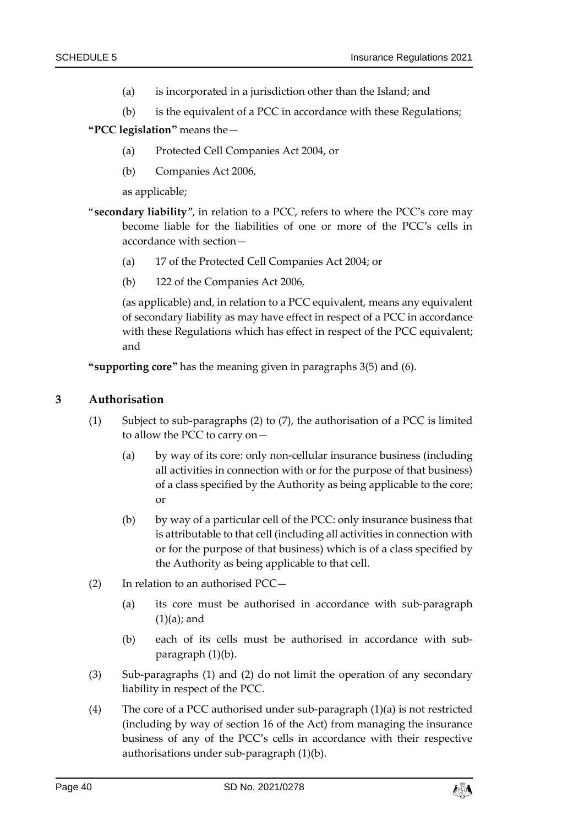- (a) is incorporated in a jurisdiction other than the Island; and
- (b) is the equivalent of a PCC in accordance with these Regulations;
- **"PCC legislation"** means the—
	- (a) Protected Cell Companies Act 2004, or
	- (b) Companies Act 2006,

as applicable;

- "**secondary liability**", in relation to a PCC, refers to where the PCC's core may become liable for the liabilities of one or more of the PCC's cells in accordance with section—
	- (a) 17 of the Protected Cell Companies Act 2004; or
	- (b) 122 of the Companies Act 2006,

(as applicable) and, in relation to a PCC equivalent, means any equivalent of secondary liability as may have effect in respect of a PCC in accordance with these Regulations which has effect in respect of the PCC equivalent; and

**"supporting core"** has the meaning given in paragraphs [3\(5\)](#page-40-1) and [\(6\).](#page-40-2)

#### <span id="page-39-4"></span><span id="page-39-3"></span>**3 Authorisation**

- <span id="page-39-1"></span>(1) Subject to sub-paragraphs [\(2\)](#page-39-0) to [\(7\),](#page-40-3) the authorisation of a PCC is limited to allow the PCC to carry on—
	- (a) by way of its core: only non-cellular insurance business (including all activities in connection with or for the purpose of that business) of a class specified by the Authority as being applicable to the core; or
	- (b) by way of a particular cell of the PCC: only insurance business that is attributable to that cell (including all activities in connection with or for the purpose of that business) which is of a class specified by the Authority as being applicable to that cell.
- <span id="page-39-2"></span><span id="page-39-0"></span>(2) In relation to an authorised PCC—
	- (a) its core must be authorised in accordance with sub-paragraph  $(1)(a)$ ; and
	- (b) each of its cells must be authorised in accordance with subparagraph (1[\)\(b\).](#page-39-2)
- (3) Sub-paragraphs [\(1\)](#page-39-3) and [\(2\)](#page-39-0) do not limit the operation of any secondary liability in respect of the PCC.
- (4) The core of a PCC authorised under sub-paragraph (1[\)\(a\)](#page-39-1) is not restricted (including by way of section 16 of the Act) from managing the insurance business of any of the PCC's cells in accordance with their respective authorisations under sub-paragraph (1[\)\(b\).](#page-39-2)

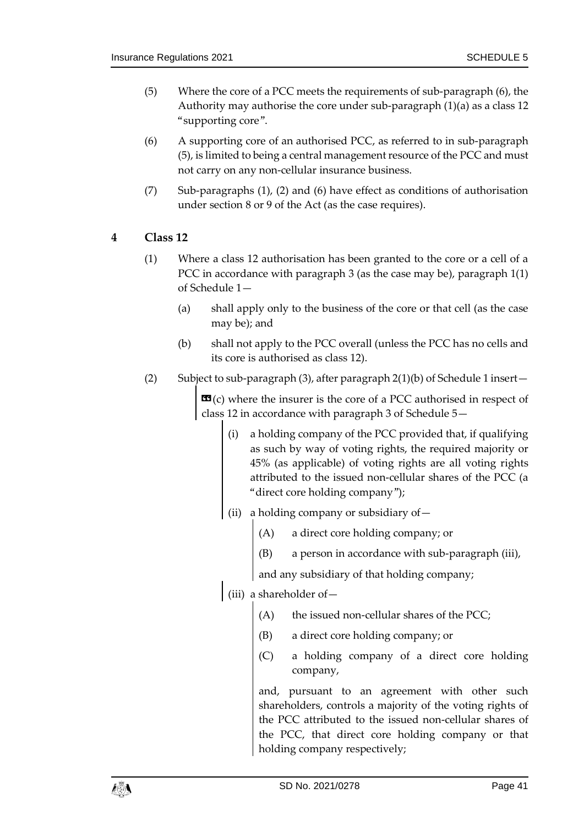- <span id="page-40-1"></span>(5) Where the core of a PCC meets the requirements of sub-paragraph [\(6\),](#page-40-2) the Authority may authorise the core under sub-paragraph (1[\)\(a\)](#page-39-1) as a class 12 "supporting core".
- <span id="page-40-2"></span>(6) A supporting core of an authorised PCC, as referred to in sub-paragraph [\(5\),](#page-40-1) is limited to being a central management resource of the PCC and must not carry on any non-cellular insurance business.
- <span id="page-40-3"></span>(7) Sub-paragraphs [\(1\),](#page-39-3) [\(2\)](#page-39-0) and [\(6\)](#page-40-2) have effect as conditions of authorisation under section 8 or 9 of the Act (as the case requires).
- <span id="page-40-4"></span>**4 Class 12** 
	- (1) Where a class 12 authorisation has been granted to the core or a cell of a PCC in accordance with paragraph [3](#page-39-4) (as the case may be), paragraph [1\(1\)](#page-24-10) of Schedule 1—
		- (a) shall apply only to the business of the core or that cell (as the case may be); and
		- (b) shall not apply to the PCC overall (unless the PCC has no cells and its core is authorised as class 12).
	- (2) Subject to sub-paragrap[h \(3\),](#page-41-0) after paragrap[h 2\(1\)\(b\)](#page-27-1) of Schedule 1 insert—

<span id="page-40-0"></span> **where the insurer is the core of a PCC authorised in respect of** class 12 in accordance with paragraph 3 of Schedule 5—

- (i) a holding company of the PCC provided that, if qualifying as such by way of voting rights, the required majority or 45% (as applicable) of voting rights are all voting rights attributed to the issued non-cellular shares of the PCC (a "direct core holding company");
- (ii) a holding company or subsidiary of—
	- (A) a direct core holding company; or
	- (B) a person in accordance with sub-paragraph (iii),

and any subsidiary of that holding company;

- (iii) a shareholder of—
	- (A) the issued non-cellular shares of the PCC;
	- (B) a direct core holding company; or
	- (C) a holding company of a direct core holding company,

and, pursuant to an agreement with other such shareholders, controls a majority of the voting rights of the PCC attributed to the issued non-cellular shares of the PCC, that direct core holding company or that holding company respectively;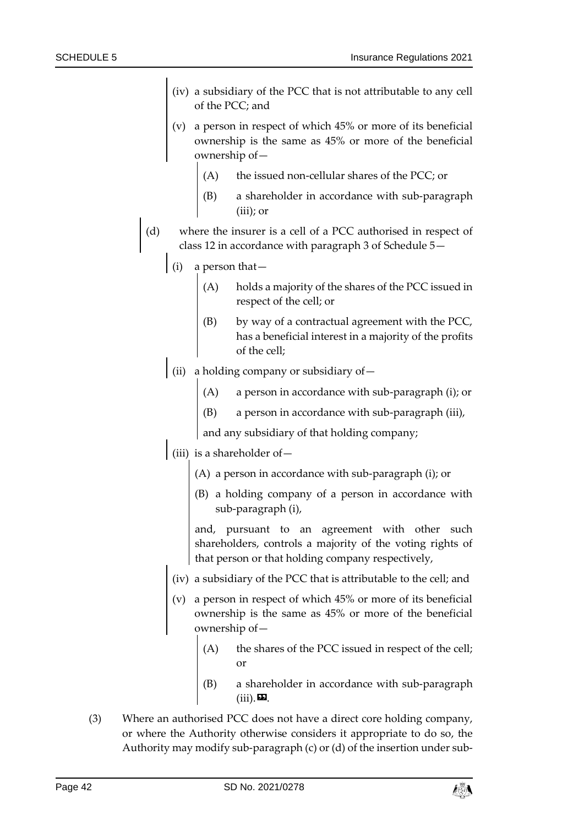- (iv) a subsidiary of the PCC that is not attributable to any cell of the PCC; and
- (v) a person in respect of which 45% or more of its beneficial ownership is the same as 45% or more of the beneficial ownership of—
	- (A) the issued non-cellular shares of the PCC; or
	- (B) a shareholder in accordance with sub-paragraph (iii); or
- (d) where the insurer is a cell of a PCC authorised in respect of class 12 in accordance with paragraph 3 of Schedule 5—
	- (i) a person that—
		- (A) holds a majority of the shares of the PCC issued in respect of the cell; or
		- (B) by way of a contractual agreement with the PCC, has a beneficial interest in a majority of the profits of the cell;
	- (ii) a holding company or subsidiary of  $-$ 
		- (A) a person in accordance with sub-paragraph (i); or
		- (B) a person in accordance with sub-paragraph (iii),

and any subsidiary of that holding company;

- (iii) is a shareholder of  $-$ 
	- (A) a person in accordance with sub-paragraph (i); or
	- (B) a holding company of a person in accordance with sub-paragraph (i),

and, pursuant to an agreement with other such shareholders, controls a majority of the voting rights of that person or that holding company respectively,

- (iv) a subsidiary of the PCC that is attributable to the cell; and
- (v) a person in respect of which 45% or more of its beneficial ownership is the same as 45% or more of the beneficial ownership of
	- the shares of the PCC issued in respect of the cell; or
	- a shareholder in accordance with sub-paragraph  $(iii)$ .
- <span id="page-41-0"></span>(3) Where an authorised PCC does not have a direct core holding company, or where the Authority otherwise considers it appropriate to do so, the Authority may modify sub-paragraph (c) or (d) of the insertion under sub-

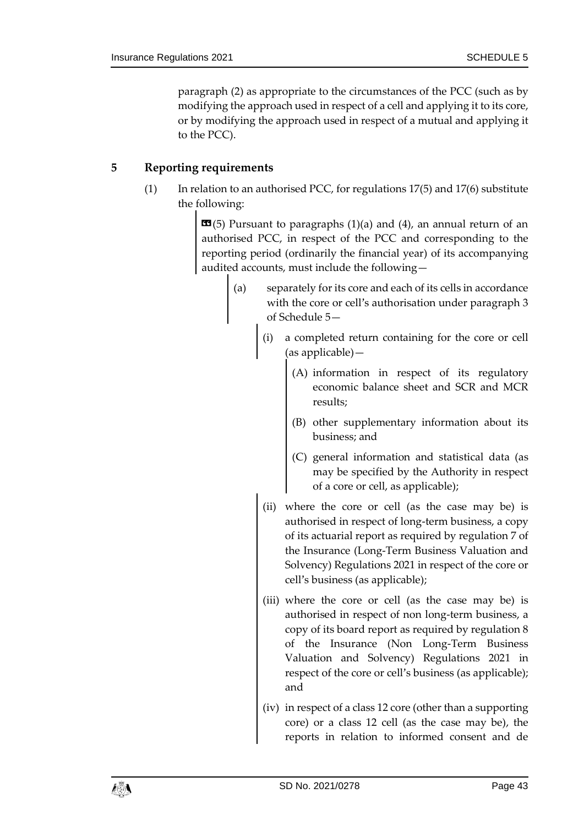paragraph [\(2\)](#page-40-0) as appropriate to the circumstances of the PCC (such as by modifying the approach used in respect of a cell and applying it to its core, or by modifying the approach used in respect of a mutual and applying it to the PCC).

## <span id="page-42-0"></span>**5 Reporting requirements**

(1) In relation to an authorised PCC, for regulations [17\(5\)](#page-16-2) an[d 17\(6\)](#page-17-2) substitute the following:

> $\mathbf{G}(5)$  Pursuant to paragraphs (1)(a) and (4), an annual return of an authorised PCC, in respect of the PCC and corresponding to the reporting period (ordinarily the financial year) of its accompanying audited accounts, must include the following—

- (a) separately for its core and each of its cells in accordance with the core or cell's authorisation under paragraph 3 of Schedule 5—
	- (i) a completed return containing for the core or cell (as applicable)—
		- (A) information in respect of its regulatory economic balance sheet and SCR and MCR results;
		- (B) other supplementary information about its business; and
		- (C) general information and statistical data (as may be specified by the Authority in respect of a core or cell, as applicable);
	- (ii) where the core or cell (as the case may be) is authorised in respect of long-term business, a copy of its actuarial report as required by regulation 7 of the Insurance (Long-Term Business Valuation and Solvency) Regulations 2021 in respect of the core or cell's business (as applicable);
	- (iii) where the core or cell (as the case may be) is authorised in respect of non long-term business, a copy of its board report as required by regulation 8 of the Insurance (Non Long-Term Business Valuation and Solvency) Regulations 2021 in respect of the core or cell's business (as applicable); and
	- (iv) in respect of a class 12 core (other than a supporting core) or a class 12 cell (as the case may be), the reports in relation to informed consent and de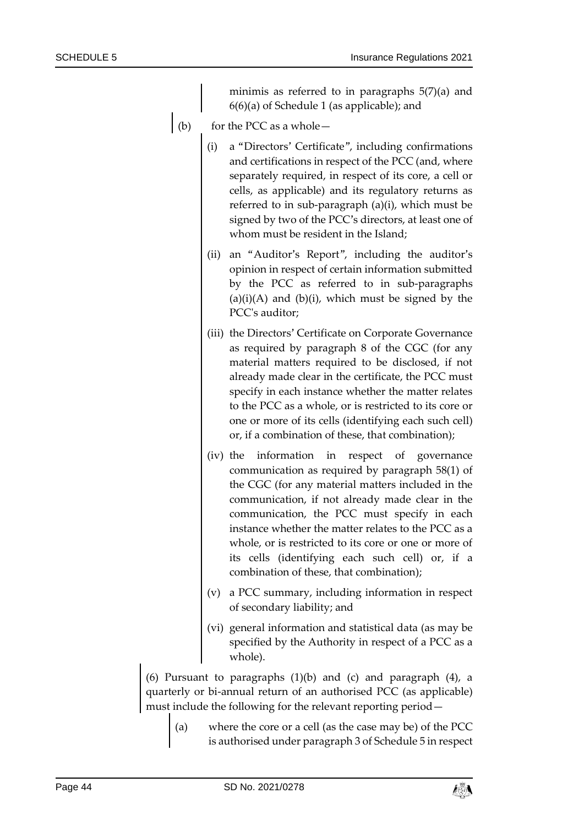minimis as referred to in paragraphs 5(7)(a) and 6(6)(a) of Schedule 1 (as applicable); and

- (b) for the PCC as a whole  $-$ 
	- (i) a "Directors' Certificate", including confirmations and certifications in respect of the PCC (and, where separately required, in respect of its core, a cell or cells, as applicable) and its regulatory returns as referred to in sub-paragraph (a)(i), which must be signed by two of the PCC's directors, at least one of whom must be resident in the Island;
	- (ii) an "Auditor's Report", including the auditor's opinion in respect of certain information submitted by the PCC as referred to in sub-paragraphs  $(a)(i)(A)$  and  $(b)(i)$ , which must be signed by the PCC's auditor;
	- (iii) the Directors' Certificate on Corporate Governance as required by paragraph 8 of the CGC (for any material matters required to be disclosed, if not already made clear in the certificate, the PCC must specify in each instance whether the matter relates to the PCC as a whole, or is restricted to its core or one or more of its cells (identifying each such cell) or, if a combination of these, that combination);
	- (iv) the information in respect of governance communication as required by paragraph 58(1) of the CGC (for any material matters included in the communication, if not already made clear in the communication, the PCC must specify in each instance whether the matter relates to the PCC as a whole, or is restricted to its core or one or more of its cells (identifying each such cell) or, if a combination of these, that combination);
	- (v) a PCC summary, including information in respect of secondary liability; and
	- (vi) general information and statistical data (as may be specified by the Authority in respect of a PCC as a whole).

(6) Pursuant to paragraphs  $(1)(b)$  and  $(c)$  and paragraph  $(4)$ , a quarterly or bi-annual return of an authorised PCC (as applicable) must include the following for the relevant reporting period—

(a) where the core or a cell (as the case may be) of the PCC is authorised under paragraph 3 of Schedule 5 in respect

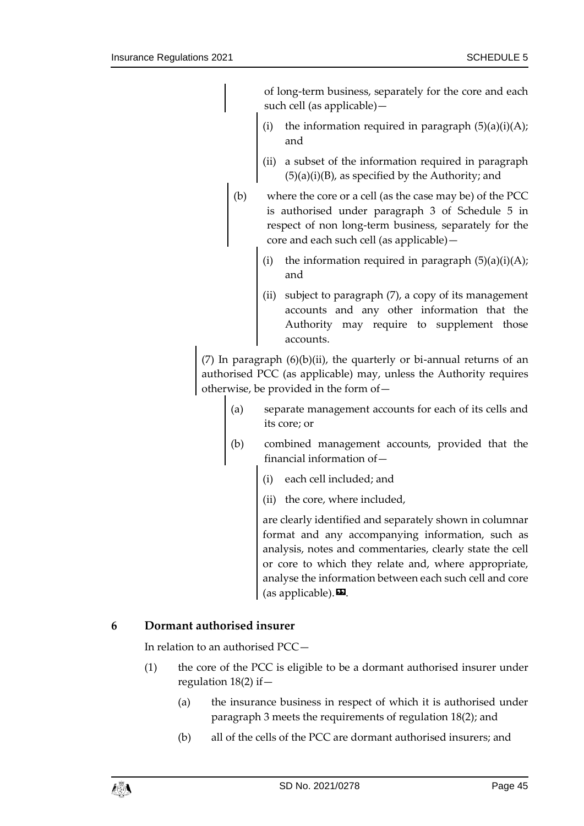of long-term business, separately for the core and each such cell (as applicable)—

- the information required in paragraph  $(5)(a)(i)(A);$ and
- (ii) a subset of the information required in paragraph  $(5)(a)(i)(B)$ , as specified by the Authority; and
- (b) where the core or a cell (as the case may be) of the PCC is authorised under paragraph 3 of Schedule 5 in respect of non long-term business, separately for the core and each such cell (as applicable)
	- the information required in paragraph  $(5)(a)(i)(A);$ and
	- (ii) subject to paragraph (7), a copy of its management accounts and any other information that the Authority may require to supplement those accounts.

(7) In paragraph  $(6)(b)(ii)$ , the quarterly or bi-annual returns of an authorised PCC (as applicable) may, unless the Authority requires otherwise, be provided in the form of—

- (a) separate management accounts for each of its cells and its core; or
- combined management accounts, provided that the financial information of—
	- (i) each cell included; and
	- (ii) the core, where included,

are clearly identified and separately shown in columnar format and any accompanying information, such as analysis, notes and commentaries, clearly state the cell or core to which they relate and, where appropriate, analyse the information between each such cell and core (as applicable).  $\mathbf{E}$ .

## <span id="page-44-0"></span>**6 Dormant authorised insurer**

In relation to an authorised PCC—

- (1) the core of the PCC is eligible to be a dormant authorised insurer under regulation [18\(2\)](#page-17-1) if—
	- (a) the insurance business in respect of which it is authorised under paragraph [3](#page-39-4) meets the requirements of regulation [18\(2\);](#page-17-1) and
	- (b) all of the cells of the PCC are dormant authorised insurers; and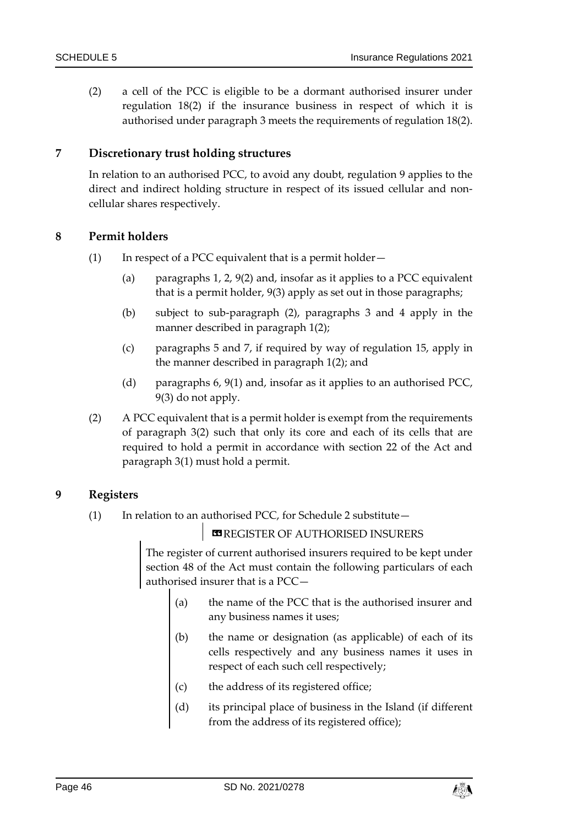(2) a cell of the PCC is eligible to be a dormant authorised insurer under regulation [18\(2\)](#page-17-1) if the insurance business in respect of which it is authorised under paragraph [3](#page-39-4) meets the requirements of regulation [18\(2\).](#page-17-1)

## <span id="page-45-1"></span>**7 Discretionary trust holding structures**

In relation to an authorised PCC, to avoid any doubt, regulation [9](#page-10-0) applies to the direct and indirect holding structure in respect of its issued cellular and noncellular shares respectively.

#### **8 Permit holders**

- (1) In respect of a PCC equivalent that is a permit holder—
	- (a) paragraphs [1,](#page-38-3) [2,](#page-38-2) [9\(2\)](#page-46-0) and, insofar as it applies to a PCC equivalent that is a permit holder, [9\(3\)](#page-47-0) apply as set out in those paragraphs;
	- (b) subject to sub-paragraph [\(2\),](#page-45-0) paragraphs [3](#page-39-4) and [4](#page-40-4) apply in the manner described in paragraph [1\(2\);](#page-38-4)
	- (c) paragraphs [5](#page-42-0) and [7,](#page-45-1) if required by way of regulation [15,](#page-13-3) apply in the manner described in paragraph [1\(2\);](#page-38-4) and
	- (d) paragraphs [6,](#page-44-0) [9\(1\)](#page-45-2) and, insofar as it applies to an authorised PCC, [9\(3\)](#page-47-0) do not apply.
- <span id="page-45-0"></span>(2) A PCC equivalent that is a permit holder is exempt from the requirements of paragraph [3\(2\)](#page-39-0) such that only its core and each of its cells that are required to hold a permit in accordance with section 22 of the Act and paragraph [3\(1\)](#page-39-3) must hold a permit.

## <span id="page-45-2"></span>**9 Registers**

(1) In relation to an authorised PCC, for Schedule 2 substitute—

**EREGISTER OF AUTHORISED INSURERS** 

The register of current authorised insurers required to be kept under section 48 of the Act must contain the following particulars of each authorised insurer that is a PCC—

- (a) the name of the PCC that is the authorised insurer and any business names it uses;
- (b) the name or designation (as applicable) of each of its cells respectively and any business names it uses in respect of each such cell respectively;
- (c) the address of its registered office;
- (d) its principal place of business in the Island (if different from the address of its registered office);

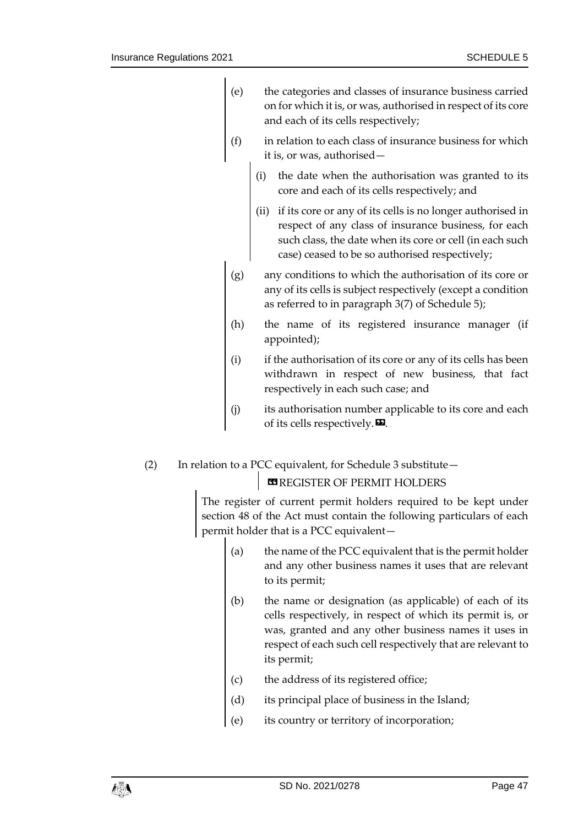| (e) | the categories and classes of insurance business carried      |
|-----|---------------------------------------------------------------|
|     | on for which it is, or was, authorised in respect of its core |
|     | and each of its cells respectively;                           |

- (f) in relation to each class of insurance business for which it is, or was, authorised
	- the date when the authorisation was granted to its core and each of its cells respectively; and
	- (ii) if its core or any of its cells is no longer authorised in respect of any class of insurance business, for each such class, the date when its core or cell (in each such case) ceased to be so authorised respectively;
- (g) any conditions to which the authorisation of its core or any of its cells is subject respectively (except a condition as referred to in paragraph 3(7) of Schedule 5);
- (h) the name of its registered insurance manager (if appointed);
- (i) if the authorisation of its core or any of its cells has been withdrawn in respect of new business, that fact respectively in each such case; and
- (j) its authorisation number applicable to its core and each of its cells respectively. $\boldsymbol{\mathsf{E}}$ .
- <span id="page-46-0"></span>(2) In relation to a PCC equivalent, for Schedule 3 substitute—

## **ES REGISTER OF PERMIT HOLDERS**

The register of current permit holders required to be kept under section 48 of the Act must contain the following particulars of each permit holder that is a PCC equivalent—

- (a) the name of the PCC equivalent that is the permit holder and any other business names it uses that are relevant to its permit;
- (b) the name or designation (as applicable) of each of its cells respectively, in respect of which its permit is, or was, granted and any other business names it uses in respect of each such cell respectively that are relevant to its permit;
- (c) the address of its registered office;
- (d) its principal place of business in the Island;
- (e) its country or territory of incorporation;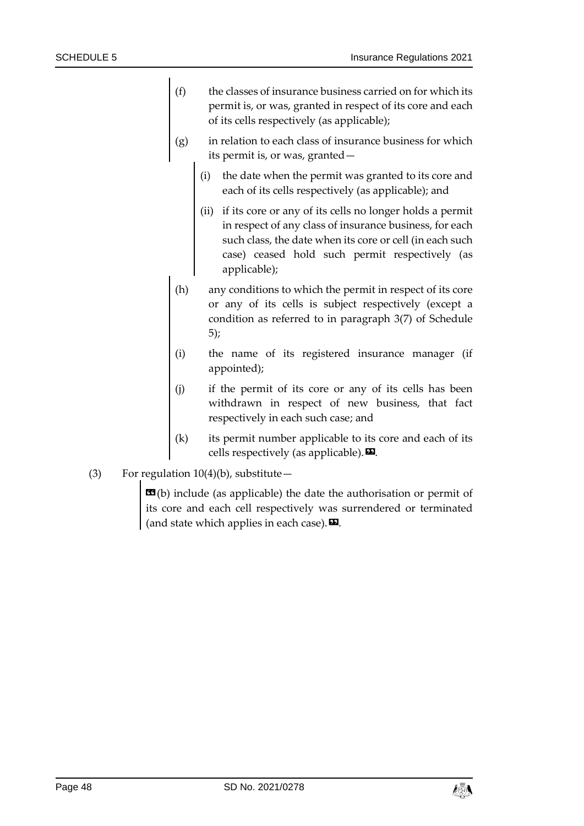- (f) the classes of insurance business carried on for which its permit is, or was, granted in respect of its core and each of its cells respectively (as applicable);
- (g) in relation to each class of insurance business for which its permit is, or was, granted
	- the date when the permit was granted to its core and each of its cells respectively (as applicable); and
	- (ii) if its core or any of its cells no longer holds a permit in respect of any class of insurance business, for each such class, the date when its core or cell (in each such case) ceased hold such permit respectively (as applicable);
- (h) any conditions to which the permit in respect of its core or any of its cells is subject respectively (except a condition as referred to in paragraph 3(7) of Schedule 5);
- (i) the name of its registered insurance manager (if appointed);
- (j) if the permit of its core or any of its cells has been withdrawn in respect of new business, that fact respectively in each such case; and
- (k) its permit number applicable to its core and each of its cells respectively (as applicable).  $\mathbf{E}$ .
- <span id="page-47-0"></span>(3) For regulation  $10(4)(b)$ , substitute -

 $\mathbf{G}(b)$  include (as applicable) the date the authorisation or permit of its core and each cell respectively was surrendered or terminated (and state which applies in each case).  $\mathbf{E}$ .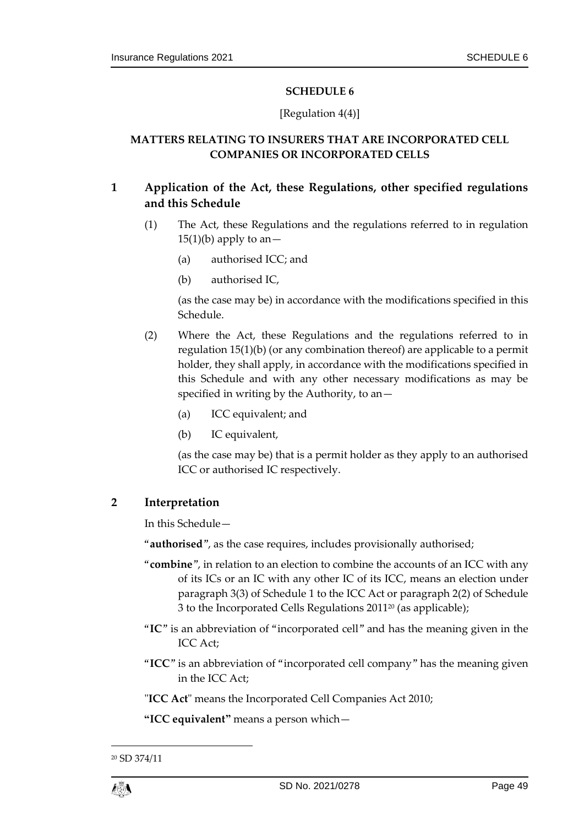## [Regulation [4\(4\)\]](#page-6-3)

## <span id="page-48-1"></span><span id="page-48-0"></span>**MATTERS RELATING TO INSURERS THAT ARE INCORPORATED CELL COMPANIES OR INCORPORATED CELLS**

## <span id="page-48-3"></span>**1 Application of the Act, these Regulations, other specified regulations and this Schedule**

- (1) The Act, these Regulations and the regulations referred to in regulation  $15(1)(b)$  apply to an -
	- (a) authorised ICC; and
	- (b) authorised IC,

(as the case may be) in accordance with the modifications specified in this Schedule.

- <span id="page-48-4"></span>(2) Where the Act, these Regulations and the regulations referred to in regulation [15\(1\)\(b\)](#page-13-7) (or any combination thereof) are applicable to a permit holder, they shall apply, in accordance with the modifications specified in this Schedule and with any other necessary modifications as may be specified in writing by the Authority, to an—
	- (a) ICC equivalent; and
	- (b) IC equivalent,

(as the case may be) that is a permit holder as they apply to an authorised ICC or authorised IC respectively.

## <span id="page-48-2"></span>**2 Interpretation**

In this Schedule—

"**authorised**", as the case requires, includes provisionally authorised;

- "**combine**", in relation to an election to combine the accounts of an ICC with any of its ICs or an IC with any other IC of its ICC, means an election under paragraph 3(3) of Schedule 1 to the ICC Act or paragraph 2(2) of Schedule 3 to the Incorporated Cells Regulations 2011<sup>20</sup> (as applicable);
- "**IC**" is an abbreviation of "incorporated cell" and has the meaning given in the ICC Act;
- "**ICC**" is an abbreviation of "incorporated cell company" has the meaning given in the ICC Act;

"**ICC Act**" means the Incorporated Cell Companies Act 2010;

**"ICC equivalent"** means a person which—

1

<sup>20</sup> SD 374/11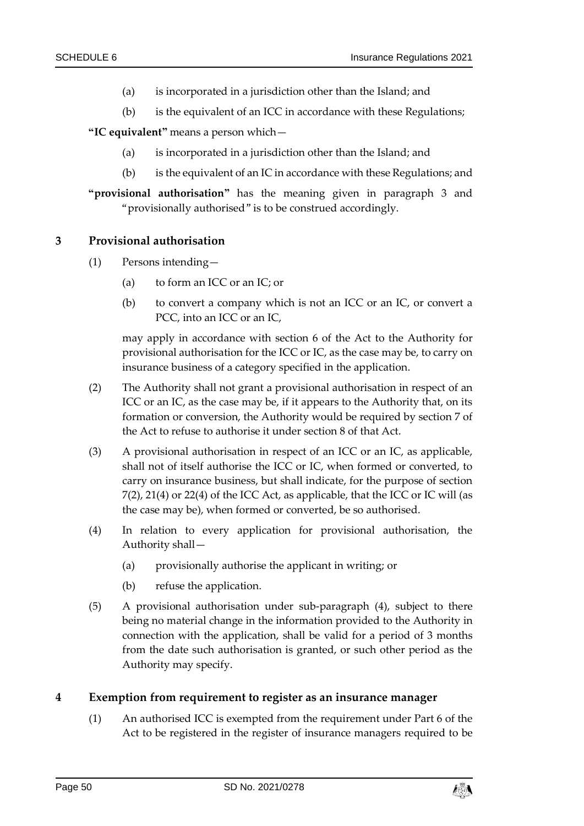- (a) is incorporated in a jurisdiction other than the Island; and
- (b) is the equivalent of an ICC in accordance with these Regulations;

**"IC equivalent"** means a person which—

- (a) is incorporated in a jurisdiction other than the Island; and
- (b) is the equivalent of an IC in accordance with these Regulations; and

**"provisional authorisation"** has the meaning given in paragraph [3](#page-49-0) and "provisionally authorised" is to be construed accordingly.

#### <span id="page-49-0"></span>**3 Provisional authorisation**

- (1) Persons intending—
	- (a) to form an ICC or an IC; or
	- (b) to convert a company which is not an ICC or an IC, or convert a PCC, into an ICC or an IC,

may apply in accordance with section 6 of the Act to the Authority for provisional authorisation for the ICC or IC, as the case may be, to carry on insurance business of a category specified in the application.

- (2) The Authority shall not grant a provisional authorisation in respect of an ICC or an IC, as the case may be, if it appears to the Authority that, on its formation or conversion, the Authority would be required by section 7 of the Act to refuse to authorise it under section 8 of that Act.
- (3) A provisional authorisation in respect of an ICC or an IC, as applicable, shall not of itself authorise the ICC or IC, when formed or converted, to carry on insurance business, but shall indicate, for the purpose of section 7(2), 21(4) or 22(4) of the ICC Act, as applicable, that the ICC or IC will (as the case may be), when formed or converted, be so authorised.
- <span id="page-49-1"></span>(4) In relation to every application for provisional authorisation, the Authority shall—
	- (a) provisionally authorise the applicant in writing; or
	- (b) refuse the application.
- (5) A provisional authorisation under sub-paragraph [\(4\),](#page-49-1) subject to there being no material change in the information provided to the Authority in connection with the application, shall be valid for a period of 3 months from the date such authorisation is granted, or such other period as the Authority may specify.

#### <span id="page-49-2"></span>**4 Exemption from requirement to register as an insurance manager**

(1) An authorised ICC is exempted from the requirement under Part 6 of the Act to be registered in the register of insurance managers required to be

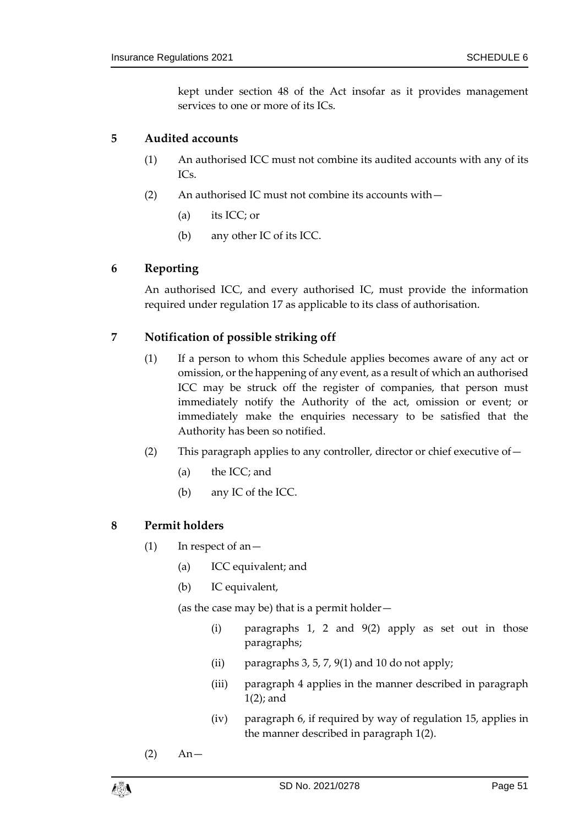kept under section 48 of the Act insofar as it provides management services to one or more of its ICs.

## <span id="page-50-0"></span>**5 Audited accounts**

- (1) An authorised ICC must not combine its audited accounts with any of its ICs.
- (2) An authorised IC must not combine its accounts with—
	- (a) its ICC; or
	- (b) any other IC of its ICC.

## <span id="page-50-2"></span>**6 Reporting**

An authorised ICC, and every authorised IC, must provide the information required under regulation [17](#page-15-2) as applicable to its class of authorisation.

## <span id="page-50-1"></span>**7 Notification of possible striking off**

- (1) If a person to whom this Schedule applies becomes aware of any act or omission, or the happening of any event, as a result of which an authorised ICC may be struck off the register of companies, that person must immediately notify the Authority of the act, omission or event; or immediately make the enquiries necessary to be satisfied that the Authority has been so notified.
- (2) This paragraph applies to any controller, director or chief executive of—
	- (a) the ICC; and
	- (b) any IC of the ICC.

## **8 Permit holders**

- (1) In respect of an—
	- (a) ICC equivalent; and
	- (b) IC equivalent,

(as the case may be) that is a permit holder—

- (i) paragraphs [1,](#page-48-3) [2](#page-48-2) and [9\(2\)](#page-51-0) apply as set out in those paragraphs;
- (ii) paragraphs [3,](#page-49-0) [5,](#page-50-0) [7,](#page-50-1) [9\(1\)](#page-51-1) and [10](#page-51-2) do not apply;
- (iii) paragraph [4](#page-49-2) applies in the manner described in paragraph [1\(2\);](#page-48-4) and
- (iv) paragraph [6,](#page-50-2) if required by way of regulation [15,](#page-13-3) applies in the manner described in paragraph [1\(2\).](#page-48-4)
- $(2)$  An-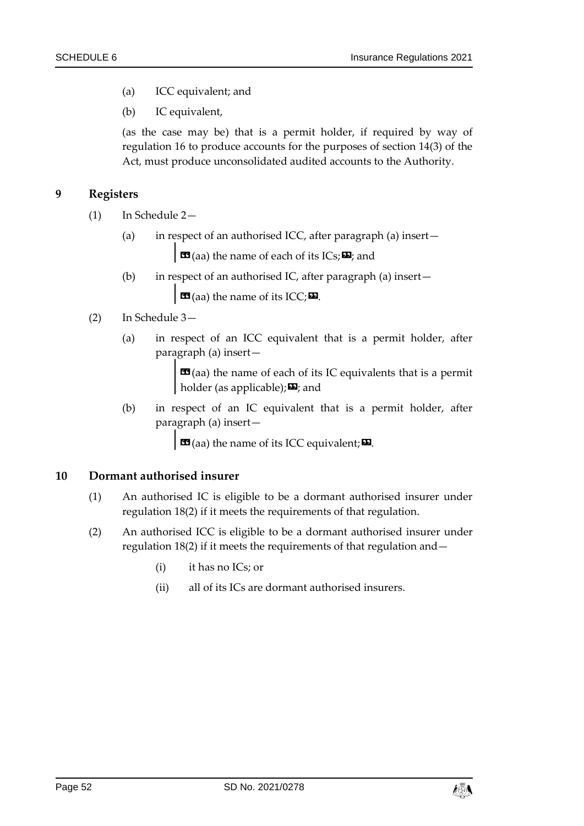- (a) ICC equivalent; and
- (b) IC equivalent,

(as the case may be) that is a permit holder, if required by way of regulation [16](#page-14-0) to produce accounts for the purposes of section 14(3) of the Act, must produce unconsolidated audited accounts to the Authority.

#### <span id="page-51-1"></span>**9 Registers**

- (1) In Schedule 2—
	- (a) in respect of an authorised ICC, after paragraph (a) insert—

 $\mathbf{C}$  (aa) the name of each of its ICs;  $\mathbf{E}$ ; and

(b) in respect of an authorised IC, after paragraph (a) insert—

 $\Box$  (aa) the name of its ICC;  $\Box$ .

## <span id="page-51-0"></span>(2) In Schedule 3—

(a) in respect of an ICC equivalent that is a permit holder, after paragraph (a) insert—

> $\mathbf{G}(aa)$  the name of each of its IC equivalents that is a permit holder (as applicable);  $\mathbf{E}$ ; and

(b) in respect of an IC equivalent that is a permit holder, after paragraph (a) insert—

 $\mathbf{G}$  (aa) the name of its ICC equivalent;  $\mathbf{E}$ .

#### <span id="page-51-2"></span>**10 Dormant authorised insurer**

- (1) An authorised IC is eligible to be a dormant authorised insurer under regulatio[n 18\(2\)](#page-17-1) if it meets the requirements of that regulation.
- (2) An authorised ICC is eligible to be a dormant authorised insurer under regulatio[n 18\(2\)](#page-17-1) if it meets the requirements of that regulation and—
	- (i) it has no ICs; or
	- (ii) all of its ICs are dormant authorised insurers.

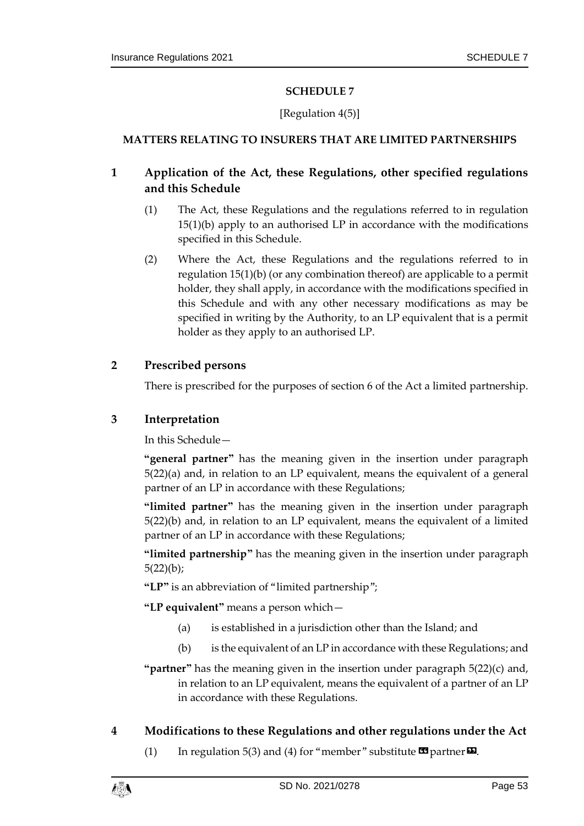#### [Regulation [4\(5\)\]](#page-7-2)

#### <span id="page-52-1"></span><span id="page-52-0"></span>**MATTERS RELATING TO INSURERS THAT ARE LIMITED PARTNERSHIPS**

## <span id="page-52-3"></span>**1 Application of the Act, these Regulations, other specified regulations and this Schedule**

- (1) The Act, these Regulations and the regulations referred to in regulation [15\(1\)\(b\)](#page-13-7) apply to an authorised LP in accordance with the modifications specified in this Schedule.
- <span id="page-52-5"></span>(2) Where the Act, these Regulations and the regulations referred to in regulation [15\(1\)\(b\)](#page-13-7) (or any combination thereof) are applicable to a permit holder, they shall apply, in accordance with the modifications specified in this Schedule and with any other necessary modifications as may be specified in writing by the Authority, to an LP equivalent that is a permit holder as they apply to an authorised LP.

#### <span id="page-52-4"></span>**2 Prescribed persons**

There is prescribed for the purposes of section 6 of the Act a limited partnership.

## <span id="page-52-2"></span>**3 Interpretation**

In this Schedule—

**"general partner"** has the meaning given in the insertion under paragraph [5\(22\)\(a\)](#page-58-0) and, in relation to an LP equivalent, means the equivalent of a general partner of an LP in accordance with these Regulations;

**"limited partner"** has the meaning given in the insertion under paragraph [5\(22\)\(b\)](#page-58-1) and, in relation to an LP equivalent, means the equivalent of a limited partner of an LP in accordance with these Regulations;

**"limited partnership"** has the meaning given in the insertion under paragraph  $5(22)(b)$ ;

**"LP"** is an abbreviation of "limited partnership";

**"LP equivalent"** means a person which—

- (a) is established in a jurisdiction other than the Island; and
- (b) is the equivalent of an LP in accordance with these Regulations; and
- **"partner"** has the meaning given in the insertion under paragraph [5\(22\)\(c\)](#page-59-0) and, in relation to an LP equivalent, means the equivalent of a partner of an LP in accordance with these Regulations.
- <span id="page-52-6"></span>**4 Modifications to these Regulations and other regulations under the Act**
	- (1) In regulation [5\(3\)](#page-7-3) an[d \(4\)](#page-8-4) for "member" substitute  $\blacksquare$  partner  $\blacksquare$ .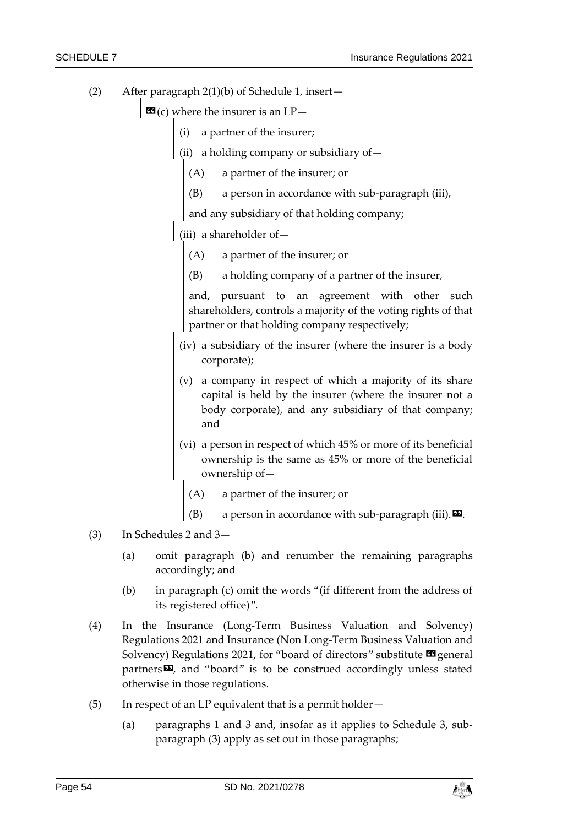- <span id="page-53-1"></span>(2) After paragraph [2\(1\)\(b\)](#page-27-1) of Schedule 1, insert—
	- $\mathbf{G}(c)$  where the insurer is an  $LP-$ 
		- (i) a partner of the insurer;
		- (ii) a holding company or subsidiary of—
			- (A) a partner of the insurer; or
			- (B) a person in accordance with sub-paragraph (iii),

and any subsidiary of that holding company;

- (iii) a shareholder of—
	- (A) a partner of the insurer; or
	- (B) a holding company of a partner of the insurer,

and, pursuant to an agreement with other such shareholders, controls a majority of the voting rights of that partner or that holding company respectively;

- (iv) a subsidiary of the insurer (where the insurer is a body corporate);
- (v) a company in respect of which a majority of its share capital is held by the insurer (where the insurer not a body corporate), and any subsidiary of that company; and
- (vi) a person in respect of which 45% or more of its beneficial ownership is the same as 45% or more of the beneficial ownership of—
	- (A) a partner of the insurer; or
	- (B) a person in accordance with sub-paragraph (iii).  $\boxtimes$ .
- <span id="page-53-0"></span>(3) In Schedules 2 and 3—
	- (a) omit paragraph (b) and renumber the remaining paragraphs accordingly; and
	- (b) in paragraph (c) omit the words "(if different from the address of its registered office)".
- <span id="page-53-2"></span>(4) In the Insurance (Long-Term Business Valuation and Solvency) Regulations 2021 and Insurance (Non Long-Term Business Valuation and Solvency) Regulations 2021, for "board of directors" substitute  $\blacksquare$  general partners $\boldsymbol{\Xi}$ , and "board" is to be construed accordingly unless stated otherwise in those regulations.
- (5) In respect of an LP equivalent that is a permit holder—
	- (a) paragraphs [1](#page-52-3) and [3](#page-52-2) and, insofar as it applies to Schedule 3, subparagraph [\(3\)](#page-53-0) apply as set out in those paragraphs;

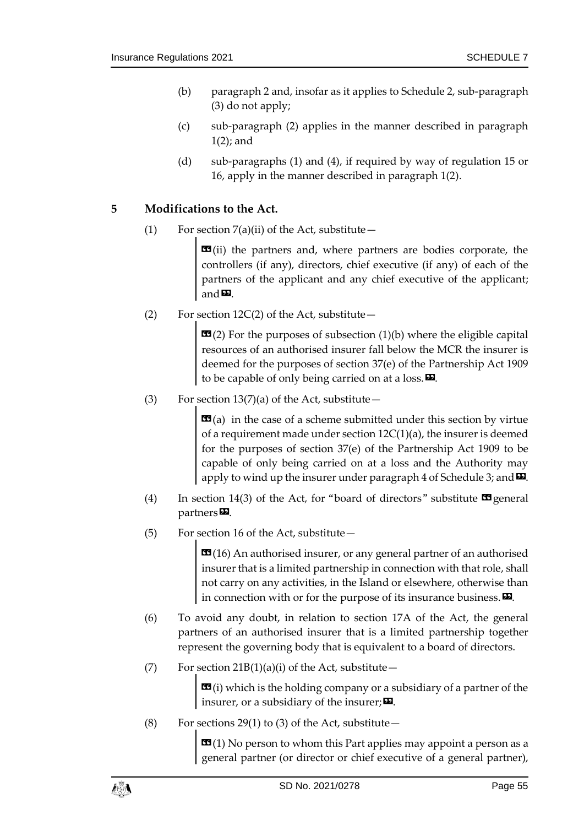- (b) paragraph [2](#page-52-4) and, insofar as it applies to Schedule 2, sub-paragraph [\(3\)](#page-53-0) do not apply;
- (c) sub-paragraph [\(2\)](#page-53-1) applies in the manner described in paragraph [1\(2\);](#page-52-5) and
- (d) sub-paragraphs [\(1\)](#page-52-6) and [\(4\),](#page-53-2) if required by way of regulation [15](#page-13-3) or [16,](#page-14-0) apply in the manner described in paragraph [1\(2\).](#page-52-5)

## **5 Modifications to the Act.**

(1) For section  $7(a)(ii)$  of the Act, substitute —

 $\text{13}$ (ii) the partners and, where partners are bodies corporate, the controllers (if any), directors, chief executive (if any) of each of the partners of the applicant and any chief executive of the applicant; and $\mathbf{E}$ .

(2) For section  $12C(2)$  of the Act, substitute –

 **For the purposes of subsection (1)(b) where the eligible capital** resources of an authorised insurer fall below the MCR the insurer is deemed for the purposes of section 37(e) of the Partnership Act 1909 to be capable of only being carried on at a loss. $\boldsymbol{\mathsf{E}}$ .

(3) For section  $13(7)(a)$  of the Act, substitute –

 **in the case of a scheme submitted under this section by virtue** of a requirement made under section 12C(1)(a), the insurer is deemed for the purposes of section 37(e) of the Partnership Act 1909 to be capable of only being carried on at a loss and the Authority may apply to wind up the insurer under paragraph 4 of Schedule 3; and  $\mathbf{\Sigma}$ .

- (4) In section 14(3) of the Act, for "board of directors" substitute  $\blacksquare$  general  $partners$ .
- (5) For section 16 of the Act, substitute—

 $16$  An authorised insurer, or any general partner of an authorised insurer that is a limited partnership in connection with that role, shall not carry on any activities, in the Island or elsewhere, otherwise than in connection with or for the purpose of its insurance business.  $\boldsymbol{\mathsf{\Xi}}$ .

- (6) To avoid any doubt, in relation to section 17A of the Act, the general partners of an authorised insurer that is a limited partnership together represent the governing body that is equivalent to a board of directors.
- (7) For section  $21B(1)(a)(i)$  of the Act, substitute –

 $\mathbf{G}(i)$  which is the holding company or a subsidiary of a partner of the insurer, or a subsidiary of the insurer;  $\mathbf{E}$ .

(8) For sections 29(1) to (3) of the Act, substitute  $-$ 

 **(1) No person to whom this Part applies may appoint a person as a** general partner (or director or chief executive of a general partner),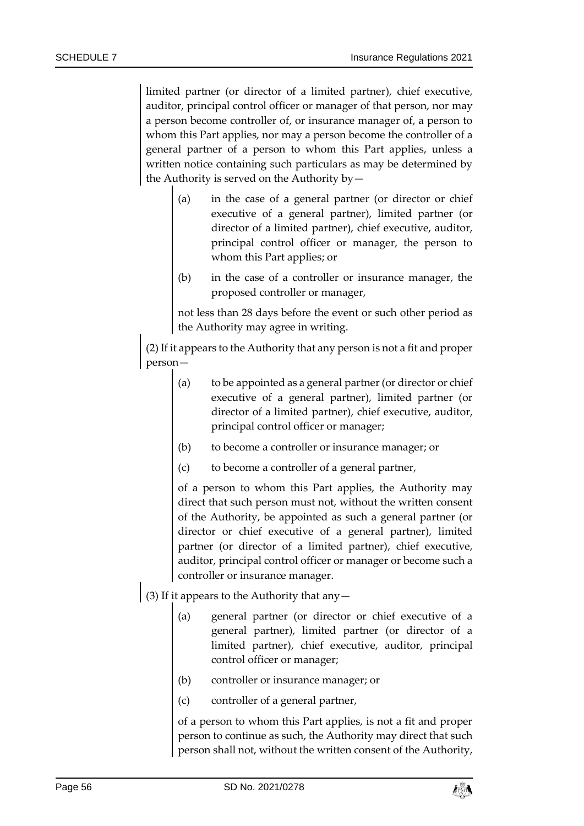limited partner (or director of a limited partner), chief executive, auditor, principal control officer or manager of that person, nor may a person become controller of, or insurance manager of, a person to whom this Part applies, nor may a person become the controller of a general partner of a person to whom this Part applies, unless a written notice containing such particulars as may be determined by the Authority is served on the Authority by—

- (a) in the case of a general partner (or director or chief executive of a general partner), limited partner (or director of a limited partner), chief executive, auditor, principal control officer or manager, the person to whom this Part applies; or
- (b) in the case of a controller or insurance manager, the proposed controller or manager,

not less than 28 days before the event or such other period as the Authority may agree in writing.

(2) If it appears to the Authority that any person is not a fit and proper person—

- (a) to be appointed as a general partner (or director or chief executive of a general partner), limited partner (or director of a limited partner), chief executive, auditor, principal control officer or manager;
- (b) to become a controller or insurance manager; or
- (c) to become a controller of a general partner,

of a person to whom this Part applies, the Authority may direct that such person must not, without the written consent of the Authority, be appointed as such a general partner (or director or chief executive of a general partner), limited partner (or director of a limited partner), chief executive, auditor, principal control officer or manager or become such a controller or insurance manager.

- (3) If it appears to the Authority that any  $-$ 
	- (a) general partner (or director or chief executive of a general partner), limited partner (or director of a limited partner), chief executive, auditor, principal control officer or manager;
	- (b) controller or insurance manager; or
	- (c) controller of a general partner,

of a person to whom this Part applies, is not a fit and proper person to continue as such, the Authority may direct that such person shall not, without the written consent of the Authority,

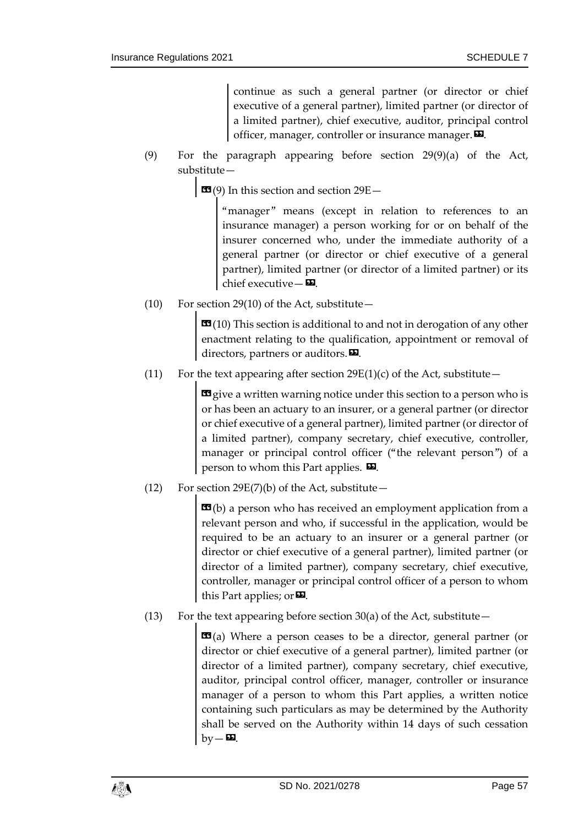continue as such a general partner (or director or chief executive of a general partner), limited partner (or director of a limited partner), chief executive, auditor, principal control officer, manager, controller or insurance manager. $\boldsymbol{\mathsf{\Xi}}$ .

(9) For the paragraph appearing before section 29(9)(a) of the Act, substitute—

 $\mathbf{G}(9)$  In this section and section 29E –

"manager" means (except in relation to references to an insurance manager) a person working for or on behalf of the insurer concerned who, under the immediate authority of a general partner (or director or chief executive of a general partner), limited partner (or director of a limited partner) or its chief executive— $\mathbf{E}$ .

(10) For section 29(10) of the Act, substitute $-$ 

 $\mathbf{G}(10)$  This section is additional to and not in derogation of any other enactment relating to the qualification, appointment or removal of directors, partners or auditors.<sup>DD</sup>.

(11) For the text appearing after section  $29E(1)(c)$  of the Act, substitute –

give a written warning notice under this section to a person who is or has been an actuary to an insurer, or a general partner (or director or chief executive of a general partner), limited partner (or director of a limited partner), company secretary, chief executive, controller, manager or principal control officer ("the relevant person") of a person to whom this Part applies.  $\mathbf{\Sigma}$ .

(12) For section 29E(7)(b) of the Act, substitute  $-$ 

 **a person who has received an employment application from a** relevant person and who, if successful in the application, would be required to be an actuary to an insurer or a general partner (or director or chief executive of a general partner), limited partner (or director of a limited partner), company secretary, chief executive, controller, manager or principal control officer of a person to whom this Part applies; or  $\mathbf{E}$ .

(13) For the text appearing before section  $30(a)$  of the Act, substitute –

 $\mathbf{G}(a)$  Where a person ceases to be a director, general partner (or director or chief executive of a general partner), limited partner (or director of a limited partner), company secretary, chief executive, auditor, principal control officer, manager, controller or insurance manager of a person to whom this Part applies, a written notice containing such particulars as may be determined by the Authority shall be served on the Authority within 14 days of such cessation  $bv - D$ .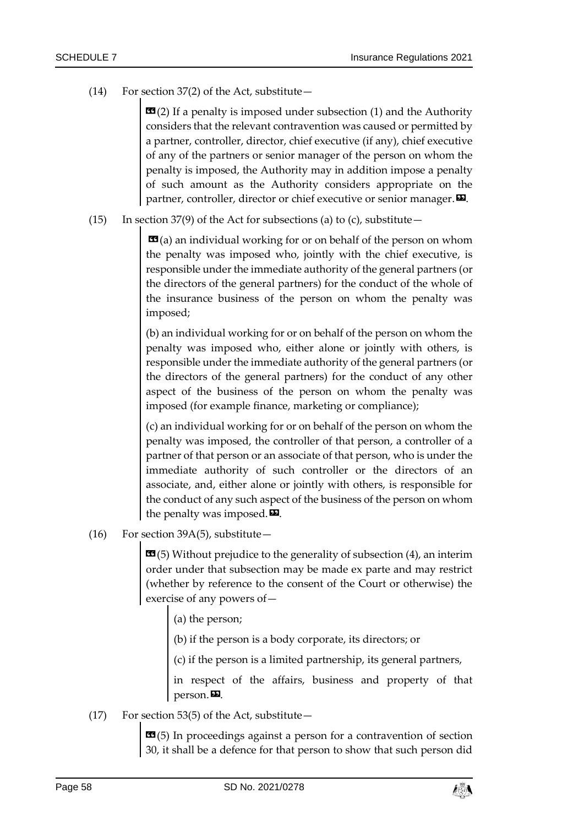(14) For section 37(2) of the Act, substitute—

 **(2) If a penalty is imposed under subsection (1) and the Authority** considers that the relevant contravention was caused or permitted by a partner, controller, director, chief executive (if any), chief executive of any of the partners or senior manager of the person on whom the penalty is imposed, the Authority may in addition impose a penalty of such amount as the Authority considers appropriate on the partner, controller, director or chief executive or senior manager.  $\boldsymbol{\mathsf{\Xi}}$ .

(15) In section 37(9) of the Act for subsections (a) to (c), substitute  $-$ 

 **(a) an individual working for or on behalf of the person on whom** the penalty was imposed who, jointly with the chief executive, is responsible under the immediate authority of the general partners (or the directors of the general partners) for the conduct of the whole of the insurance business of the person on whom the penalty was imposed;

(b) an individual working for or on behalf of the person on whom the penalty was imposed who, either alone or jointly with others, is responsible under the immediate authority of the general partners (or the directors of the general partners) for the conduct of any other aspect of the business of the person on whom the penalty was imposed (for example finance, marketing or compliance);

(c) an individual working for or on behalf of the person on whom the penalty was imposed, the controller of that person, a controller of a partner of that person or an associate of that person, who is under the immediate authority of such controller or the directors of an associate, and, either alone or jointly with others, is responsible for the conduct of any such aspect of the business of the person on whom the penalty was imposed. $\mathbf{E}$ .

(16) For section 39A(5), substitute—

 $\mathbf{G}(5)$  Without prejudice to the generality of subsection (4), an interim order under that subsection may be made ex parte and may restrict (whether by reference to the consent of the Court or otherwise) the exercise of any powers of—

(a) the person;

(b) if the person is a body corporate, its directors; or

(c) if the person is a limited partnership, its general partners,

in respect of the affairs, business and property of that person.

(17) For section 53(5) of the Act, substitute—

 $\mathbf{G}$ (5) In proceedings against a person for a contravention of section 30, it shall be a defence for that person to show that such person did

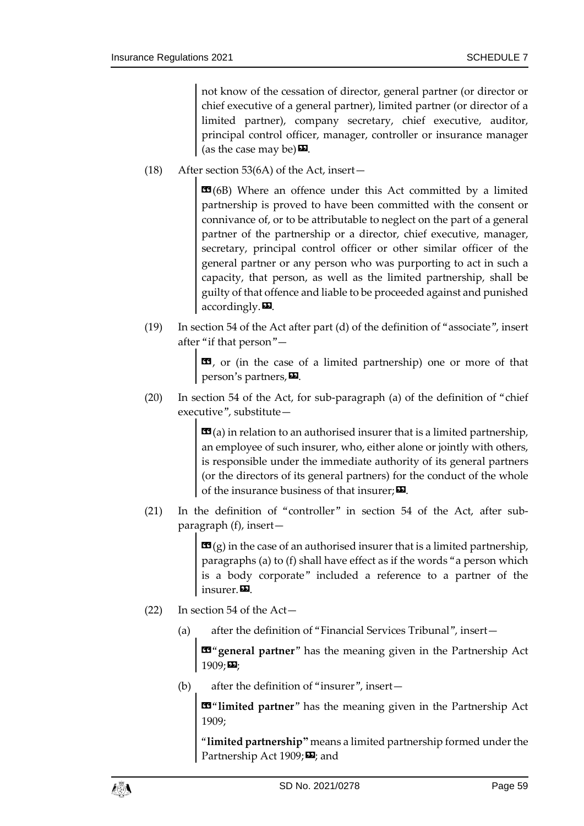not know of the cessation of director, general partner (or director or chief executive of a general partner), limited partner (or director of a limited partner), company secretary, chief executive, auditor, principal control officer, manager, controller or insurance manager (as the case may be)  $\mathbf{E}$ .

(18) After section 53(6A) of the Act, insert—

 $**19**$  **(6B) Where an offence under this Act committed by a limited** partnership is proved to have been committed with the consent or connivance of, or to be attributable to neglect on the part of a general partner of the partnership or a director, chief executive, manager, secretary, principal control officer or other similar officer of the general partner or any person who was purporting to act in such a capacity, that person, as well as the limited partnership, shall be guilty of that offence and liable to be proceeded against and punished  $accordingly.  $\blacksquare$$ 

(19) In section 54 of the Act after part (d) of the definition of "associate", insert after "if that person"—

> $\mathbf{G}$ , or (in the case of a limited partnership) one or more of that person's partners,  $\boldsymbol{\mathsf{E}}$ .

(20) In section 54 of the Act, for sub-paragraph (a) of the definition of "chief executive", substitute—

> $\mathbf{G}(a)$  in relation to an authorised insurer that is a limited partnership, an employee of such insurer, who, either alone or jointly with others, is responsible under the immediate authority of its general partners (or the directors of its general partners) for the conduct of the whole of the insurance business of that insurer;  $\boldsymbol{\Sigma}$ .

(21) In the definition of "controller" in section 54 of the Act, after subparagraph (f), insert—

> $\mathbf{G}(g)$  in the case of an authorised insurer that is a limited partnership, paragraphs (a) to (f) shall have effect as if the words "a person which is a body corporate" included a reference to a partner of the insurer.

- <span id="page-58-0"></span>(22) In section 54 of the Act—
	- (a) after the definition of "Financial Services Tribunal", insert—

«"**general partner**" has the meaning given in the Partnership Act  $1909;$ 

<span id="page-58-1"></span>(b) after the definition of "insurer", insert—

«"**limited partner**" has the meaning given in the Partnership Act 1909;

"**limited partnership"** means a limited partnership formed under the Partnership Act 1909; **D**; and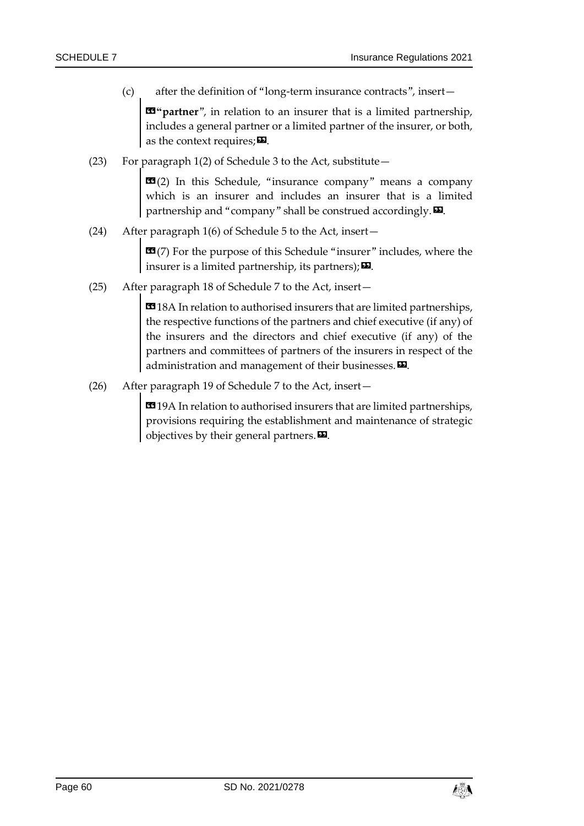<span id="page-59-0"></span>(c) after the definition of "long-term insurance contracts", insert—

«**"partner**", in relation to an insurer that is a limited partnership, includes a general partner or a limited partner of the insurer, or both, as the context requires;  $\Sigma$ .

(23) For paragraph 1(2) of Schedule 3 to the Act, substitute—

 **In this Schedule, "insurance company" means a company** which is an insurer and includes an insurer that is a limited partnership and "company" shall be construed accordingly. $\boldsymbol{\mathsf{E}}$ .

(24) After paragraph 1(6) of Schedule 5 to the Act, insert—

«(7) For the purpose of this Schedule "insurer" includes, where the insurer is a limited partnership, its partners);  $\boldsymbol{\Sigma}$ .

(25) After paragraph 18 of Schedule 7 to the Act, insert—

**EG** 18A In relation to authorised insurers that are limited partnerships, the respective functions of the partners and chief executive (if any) of the insurers and the directors and chief executive (if any) of the partners and committees of partners of the insurers in respect of the administration and management of their businesses. $\boldsymbol{\mathsf{\Xi}}$ .

(26) After paragraph 19 of Schedule 7 to the Act, insert—

**EG** 19A In relation to authorised insurers that are limited partnerships, provisions requiring the establishment and maintenance of strategic objectives by their general partners. $\boldsymbol{\mathsf{\Xi}}$ .